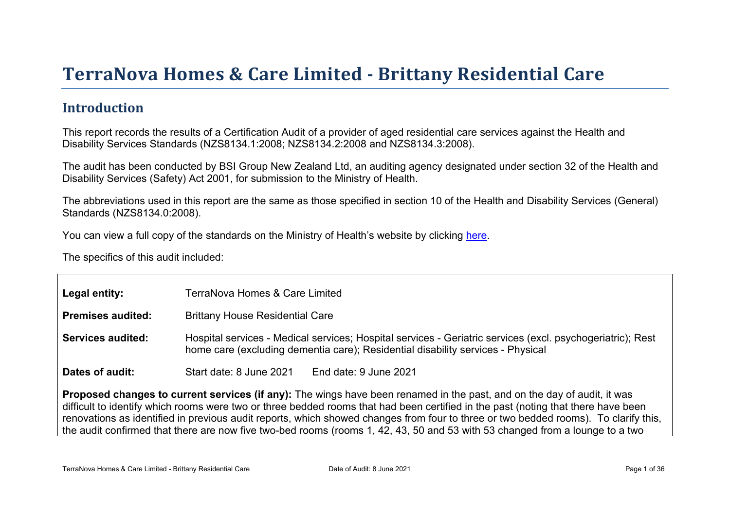# Terr aNova Homes & Car e Limited - Brittany Residential Car e

#### Introduction

This report records the results of a Certification Audit of a provider of aged residential care services against the Health and Disability Services Standards (NZS8134.1:2008; NZS8134.2:2008 and NZS8134.3:2008).

The audit has been conducted by BSI Group New Zealand Ltd, an auditing agency designated under section 32 of the Health and Disability Services (Safety) Act 2001, for submission to the Ministry of Health.

The abbreviations used in this report are the same as those specified in section 10 of the Health and Disability Services (General) Standards (NZS8134.0:2008).

You can view a full copy of the standards on the Ministry of Health's website by clicking [here.](http://www.health.govt.nz/our-work/regulation-health-and-disability-system/certification-health-care-services/health-and-disability-services-standards)

The specifics of this audit included:

| Legal entity:     | TerraNova Homes & Care Limited                                                                                                                                                                |  |  |
|-------------------|-----------------------------------------------------------------------------------------------------------------------------------------------------------------------------------------------|--|--|
| Premises audited: | <b>Brittany House Residential Care</b>                                                                                                                                                        |  |  |
| Services audited: | Hospital services - Medical services; Hospital services - Geriatric services (excl. psychogeriatric); Rest<br>home care (excluding dementia care); Residential disability services - Physical |  |  |
| Dates of audit:   | Start date: 8 June 2021<br>End date: 9 June 2021                                                                                                                                              |  |  |

Proposed changes to current services (if any): The wings have been renamed in the past, and on the day of audit, it was difficult to identify which rooms were two or three bedded rooms that had been certified in the past (noting that there have been renovations as identified in previous audit reports, which showed changes from four to three or two bedded rooms). To clarify this, the audit confirmed that there are now five two-bed rooms (rooms 1, 42, 43, 50 and 53 with 53 changed from a lounge to a two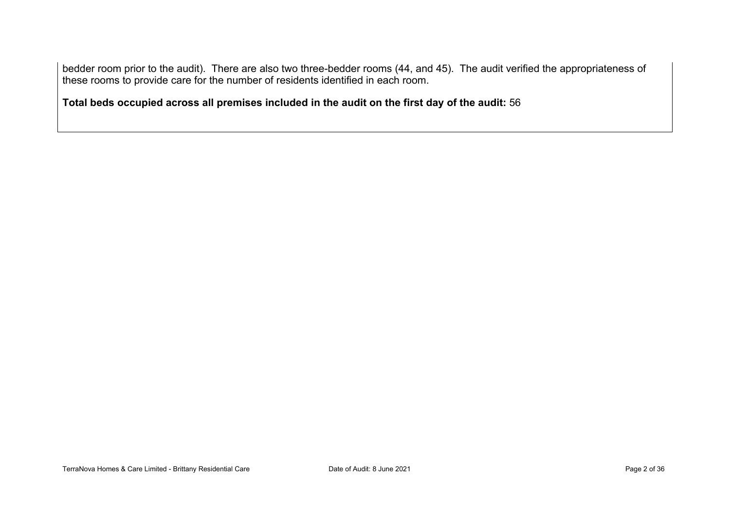bedder room prior to the audit). There are also two three-bedder rooms (44, and 45). The audit verified the appropriateness of these rooms to provide care for the number of residents identified in each room.

**Total beds occupied across all premises included in the audit on the first day of the audit:** 56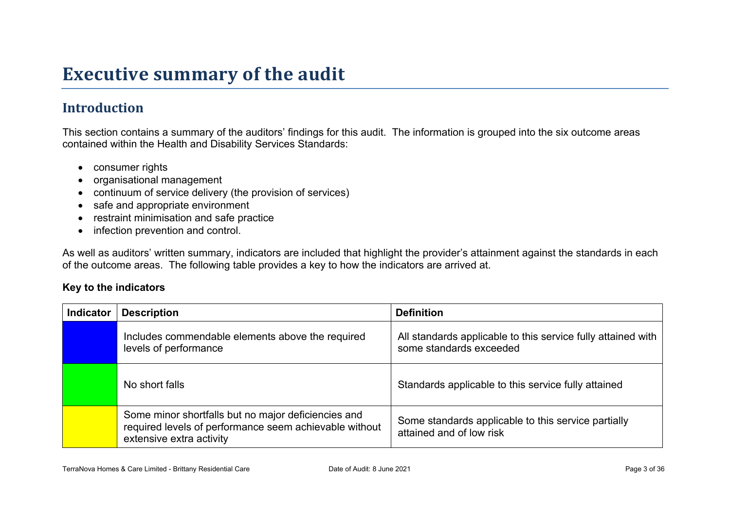# **Executive summary of the audit**

### **Introduction**

This section contains a summary of the auditors' findings for this audit. The information is grouped into the six outcome areas contained within the Health and Disability Services Standards:

- consumer rights
- organisational management
- continuum of service delivery (the provision of services)
- safe and appropriate environment
- restraint minimisation and safe practice
- infection prevention and control.

As well as auditors' written summary, indicators are included that highlight the provider's attainment against the standards in each of the outcome areas. The following table provides a key to how the indicators are arrived at.

#### **Key to the indicators**

| <b>Indicator</b> | <b>Description</b>                                                                                                                        | <b>Definition</b>                                                                       |
|------------------|-------------------------------------------------------------------------------------------------------------------------------------------|-----------------------------------------------------------------------------------------|
|                  | Includes commendable elements above the required<br>levels of performance                                                                 | All standards applicable to this service fully attained with<br>some standards exceeded |
|                  | No short falls                                                                                                                            | Standards applicable to this service fully attained                                     |
|                  | Some minor shortfalls but no major deficiencies and<br>required levels of performance seem achievable without<br>extensive extra activity | Some standards applicable to this service partially<br>attained and of low risk         |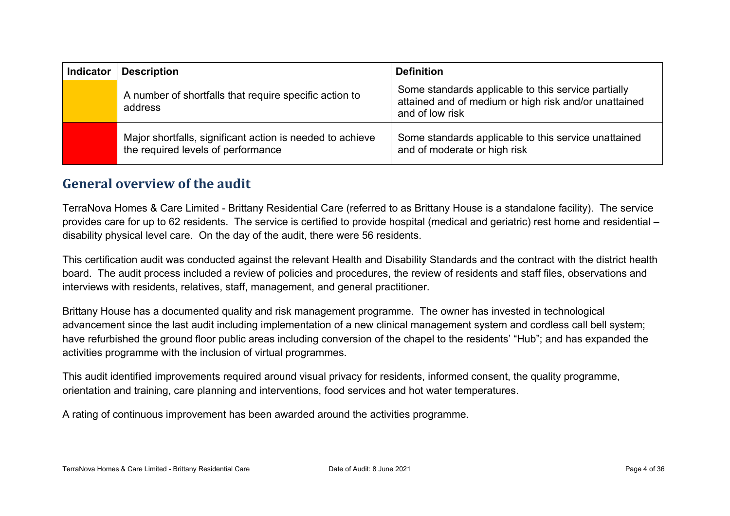| <b>Indicator</b> | <b>Description</b>                                                                              | <b>Definition</b>                                                                                                               |
|------------------|-------------------------------------------------------------------------------------------------|---------------------------------------------------------------------------------------------------------------------------------|
|                  | A number of shortfalls that require specific action to<br>address                               | Some standards applicable to this service partially<br>attained and of medium or high risk and/or unattained<br>and of low risk |
|                  | Major shortfalls, significant action is needed to achieve<br>the required levels of performance | Some standards applicable to this service unattained<br>and of moderate or high risk                                            |

#### **General overview of the audit**

TerraNova Homes & Care Limited - Brittany Residential Care (referred to as Brittany House is a standalone facility). The service provides care for up to 62 residents. The service is certified to provide hospital (medical and geriatric) rest home and residential – disability physical level care. On the day of the audit, there were 56 residents.

This certification audit was conducted against the relevant Health and Disability Standards and the contract with the district health board. The audit process included a review of policies and procedures, the review of residents and staff files, observations and interviews with residents, relatives, staff, management, and general practitioner.

Brittany House has a documented quality and risk management programme. The owner has invested in technological advancement since the last audit including implementation of a new clinical management system and cordless call bell system; have refurbished the ground floor public areas including conversion of the chapel to the residents' "Hub"; and has expanded the activities programme with the inclusion of virtual programmes.

This audit identified improvements required around visual privacy for residents, informed consent, the quality programme, orientation and training, care planning and interventions, food services and hot water temperatures.

A rating of continuous improvement has been awarded around the activities programme.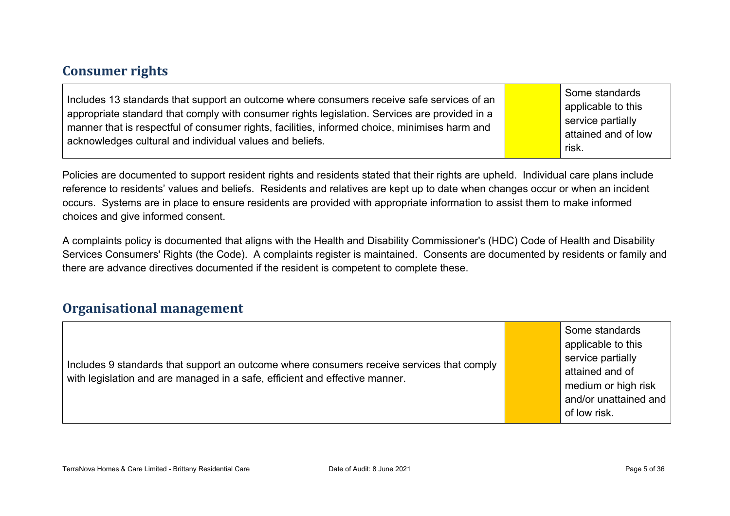#### **Consumer rights**

Includes 13 standards that support an outcome where consumers receive safe services of an appropriate standard that comply with consumer rights legislation. Services are provided in a manner that is respectful of consumer rights, facilities, informed choice, minimises harm and acknowledges cultural and individual values and beliefs.

Some standards applicable to this service partially attained and of low risk.

Policies are documented to support resident rights and residents stated that their rights are upheld. Individual care plans include reference to residents' values and beliefs. Residents and relatives are kept up to date when changes occur or when an incident occurs. Systems are in place to ensure residents are provided with appropriate information to assist them to make informed choices and give informed consent.

A complaints policy is documented that aligns with the Health and Disability Commissioner's (HDC) Code of Health and Disability Services Consumers' Rights (the Code). A complaints register is maintained. Consents are documented by residents or family and there are advance directives documented if the resident is competent to complete these.

#### **Organisational management**

Includes 9 standards that support an outcome where consumers receive services that comply with legislation and are managed in a safe, efficient and effective manner.

Some standards applicable to this service partially attained and of medium or high risk and/or unattained and of low risk.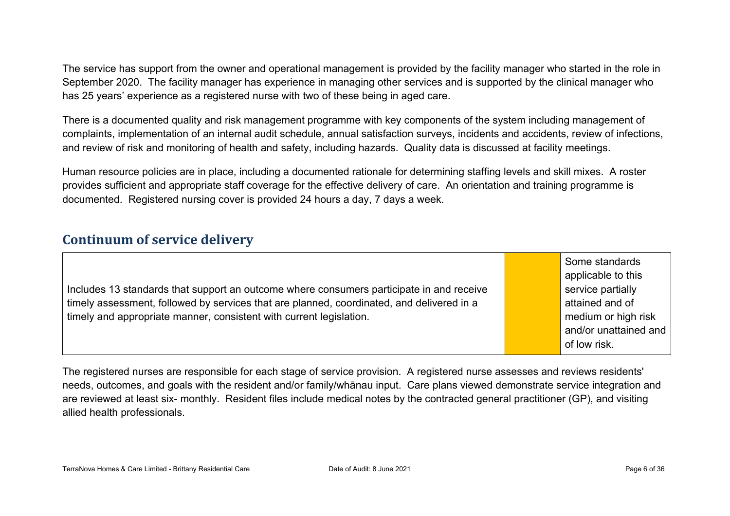The service has support from the owner and operational management is provided by the facility manager who started in the role in September 2020. The facility manager has experience in managing other services and is supported by the clinical manager who has 25 years' experience as a registered nurse with two of these being in aged care.

There is a documented quality and risk management programme with key components of the system including management of complaints, implementation of an internal audit schedule, annual satisfaction surveys, incidents and accidents, review of infections, and review of risk and monitoring of health and safety, including hazards. Quality data is discussed at facility meetings.

Human resource policies are in place, including a documented rationale for determining staffing levels and skill mixes. A roster provides sufficient and appropriate staff coverage for the effective delivery of care. An orientation and training programme is documented. Registered nursing cover is provided 24 hours a day, 7 days a week.

#### **Continuum of service delivery**

|                                                                                           | Some standards<br>applicable to this |
|-------------------------------------------------------------------------------------------|--------------------------------------|
| Includes 13 standards that support an outcome where consumers participate in and receive  | service partially                    |
| timely assessment, followed by services that are planned, coordinated, and delivered in a | attained and of                      |
| timely and appropriate manner, consistent with current legislation.                       | medium or high risk                  |
|                                                                                           | and/or unattained and                |
|                                                                                           | of low risk.                         |

The registered nurses are responsible for each stage of service provision. A registered nurse assesses and reviews residents' needs, outcomes, and goals with the resident and/or family/whānau input. Care plans viewed demonstrate service integration and are reviewed at least six- monthly. Resident files include medical notes by the contracted general practitioner (GP), and visiting allied health professionals.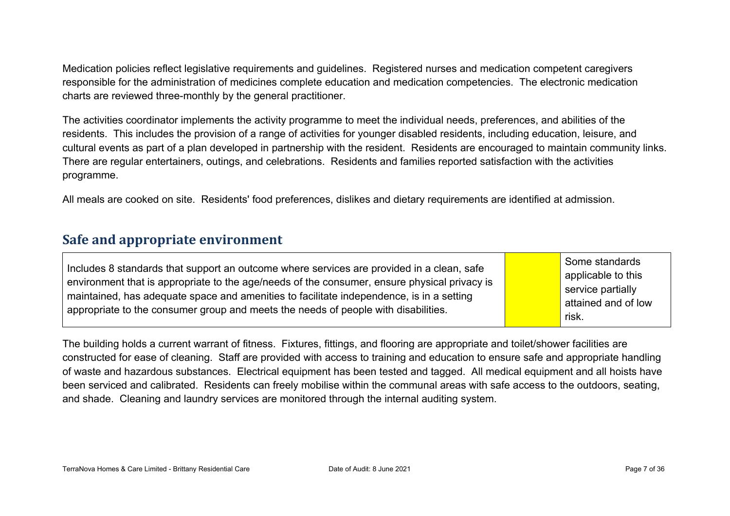Medication policies reflect legislative requirements and guidelines. Registered nurses and medication competent caregivers responsible for the administration of medicines complete education and medication competencies. The electronic medication charts are reviewed three-monthly by the general practitioner.

The activities coordinator implements the activity programme to meet the individual needs, preferences, and abilities of the residents. This includes the provision of a range of activities for younger disabled residents, including education, leisure, and cultural events as part of a plan developed in partnership with the resident. Residents are encouraged to maintain community links. There are regular entertainers, outings, and celebrations. Residents and families reported satisfaction with the activities programme.

All meals are cooked on site. Residents' food preferences, dislikes and dietary requirements are identified at admission.

#### **Safe and appropriate environment**

| Includes 8 standards that support an outcome where services are provided in a clean, safe<br>environment that is appropriate to the age/needs of the consumer, ensure physical privacy is<br>maintained, has adequate space and amenities to facilitate independence, is in a setting<br>appropriate to the consumer group and meets the needs of people with disabilities. |  | Some standards<br>applicable to this<br>service partially<br>attained and of low<br>risk. |
|-----------------------------------------------------------------------------------------------------------------------------------------------------------------------------------------------------------------------------------------------------------------------------------------------------------------------------------------------------------------------------|--|-------------------------------------------------------------------------------------------|
|-----------------------------------------------------------------------------------------------------------------------------------------------------------------------------------------------------------------------------------------------------------------------------------------------------------------------------------------------------------------------------|--|-------------------------------------------------------------------------------------------|

The building holds a current warrant of fitness. Fixtures, fittings, and flooring are appropriate and toilet/shower facilities are constructed for ease of cleaning. Staff are provided with access to training and education to ensure safe and appropriate handling of waste and hazardous substances. Electrical equipment has been tested and tagged. All medical equipment and all hoists have been serviced and calibrated. Residents can freely mobilise within the communal areas with safe access to the outdoors, seating, and shade. Cleaning and laundry services are monitored through the internal auditing system.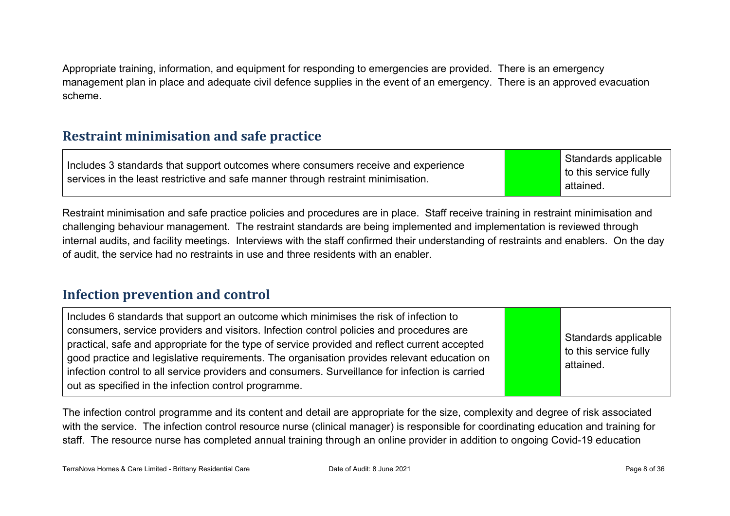Appropriate training, information, and equipment for responding to emergencies are provided. There is an emergency management plan in place and adequate civil defence supplies in the event of an emergency. There is an approved evacuation scheme.

#### **Restraint minimisation and safe practice**

Includes 3 standards that support outcomes where consumers receive and experience services in the least restrictive and safe manner through restraint minimisation.

Standards applicable to this service fully attained.

Restraint minimisation and safe practice policies and procedures are in place. Staff receive training in restraint minimisation and challenging behaviour management. The restraint standards are being implemented and implementation is reviewed through internal audits, and facility meetings. Interviews with the staff confirmed their understanding of restraints and enablers. On the day of audit, the service had no restraints in use and three residents with an enabler.

#### **Infection prevention and control**

Includes 6 standards that support an outcome which minimises the risk of infection to consumers, service providers and visitors. Infection control policies and procedures are practical, safe and appropriate for the type of service provided and reflect current accepted good practice and legislative requirements. The organisation provides relevant education on infection control to all service providers and consumers. Surveillance for infection is carried out as specified in the infection control programme. Standards applicable to this service fully attained.

The infection control programme and its content and detail are appropriate for the size, complexity and degree of risk associated with the service. The infection control resource nurse (clinical manager) is responsible for coordinating education and training for staff. The resource nurse has completed annual training through an online provider in addition to ongoing Covid-19 education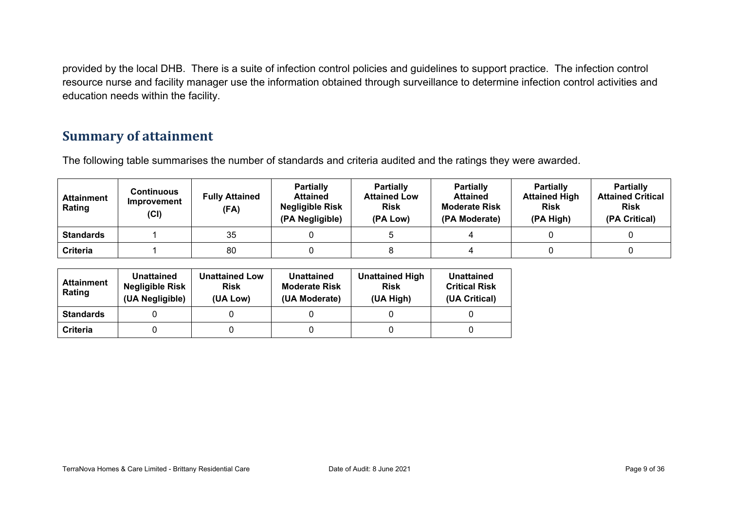provided by the local DHB. There is a suite of infection control policies and guidelines to support practice. The infection control resource nurse and facility manager use the information obtained through surveillance to determine infection control activities and education needs within the facility.

#### **Summary of attainment**

The following table summarises the number of standards and criteria audited and the ratings they were awarded.

| <b>Attainment</b><br>Rating | <b>Continuous</b><br>Improvement<br>(CI) | <b>Fully Attained</b><br>(FA) | <b>Partially</b><br><b>Attained</b><br><b>Negligible Risk</b><br>(PA Negligible) | <b>Partially</b><br><b>Attained Low</b><br><b>Risk</b><br>(PA Low) | <b>Partially</b><br><b>Attained</b><br><b>Moderate Risk</b><br>(PA Moderate) | <b>Partially</b><br><b>Attained High</b><br><b>Risk</b><br>(PA High) | <b>Partially</b><br><b>Attained Critical</b><br><b>Risk</b><br>(PA Critical) |
|-----------------------------|------------------------------------------|-------------------------------|----------------------------------------------------------------------------------|--------------------------------------------------------------------|------------------------------------------------------------------------------|----------------------------------------------------------------------|------------------------------------------------------------------------------|
| <b>Standards</b>            |                                          | 35                            |                                                                                  |                                                                    |                                                                              |                                                                      |                                                                              |
| <b>Criteria</b>             |                                          | 80                            |                                                                                  |                                                                    |                                                                              |                                                                      |                                                                              |

| <b>Attainment</b><br>Rating | <b>Unattained</b><br><b>Negligible Risk</b><br>(UA Negligible) | <b>Unattained Low</b><br><b>Risk</b><br>(UA Low) | Unattained<br><b>Moderate Risk</b><br>(UA Moderate) | <b>Unattained High</b><br><b>Risk</b><br>(UA High) | Unattained<br><b>Critical Risk</b><br>(UA Critical) |
|-----------------------------|----------------------------------------------------------------|--------------------------------------------------|-----------------------------------------------------|----------------------------------------------------|-----------------------------------------------------|
| <b>Standards</b>            |                                                                |                                                  |                                                     |                                                    |                                                     |
| Criteria                    |                                                                |                                                  |                                                     |                                                    |                                                     |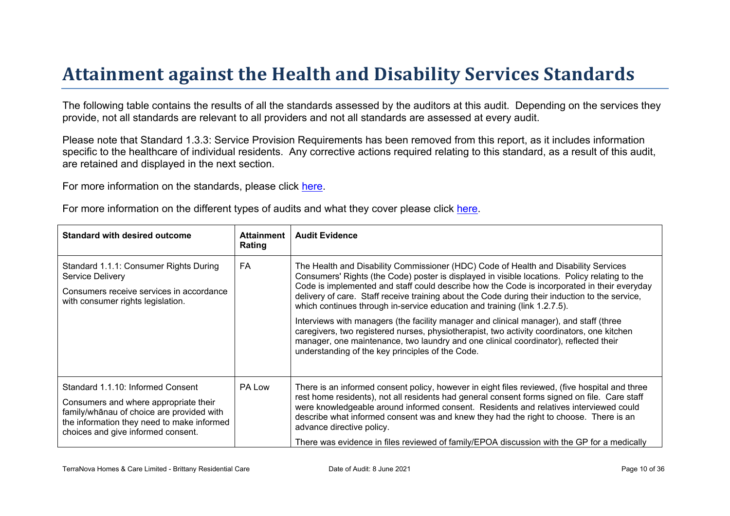# Attainment against the Health and Disability Ser vices Standar ds

The following table contains the results of all the standards assessed by the auditors at this audit. Depending on the services they provide, not all standards are relevant to all providers and not all standards are assessed at every audit.

Please note that Standard 1.3.3: Service Provision Requirements has been removed from this report, as it includes information specific to the healthcare of individual residents. Any corrective actions required relating to this standard, as a result of this audit. are retained and displayed in the next section.

For more information on the standards, please click [here](http://www.health.govt.nz/our-work/regulation-health-and-disability-system/certification-health-care-services/health-and-disability-services-standards).

For more information on the different types of audits and what they cover please click [here.](http://www.health.govt.nz/your-health/services-and-support/health-care-services/services-older-people/rest-home-certification-and-audits)

| Standard with desired outcome                                                                                                                                                                        | Attainment<br>Rating | <b>Audit Evidence</b>                                                                                                                                                                                                                                                                                                                                                                                                                                              |
|------------------------------------------------------------------------------------------------------------------------------------------------------------------------------------------------------|----------------------|--------------------------------------------------------------------------------------------------------------------------------------------------------------------------------------------------------------------------------------------------------------------------------------------------------------------------------------------------------------------------------------------------------------------------------------------------------------------|
| Standard 1.1.1: Consumer Rights During<br>Service Delivery<br>Consumers receive services in accordance<br>with consumer rights legislation.                                                          | FA                   | The Health and Disability Commissioner (HDC) Code of Health and Disability Services<br>Consumers' Rights (the Code) poster is displayed in visible locations. Policy relating to the<br>Code is implemented and staff could describe how the Code is incorporated in their everyday<br>delivery of care. Staff receive training about the Code during their induction to the service,<br>which continues through in-service education and training (link 1.2.7.5). |
|                                                                                                                                                                                                      |                      | Interviews with managers (the facility manager and clinical manager), and staff (three<br>caregivers, two registered nurses, physiotherapist, two activity coordinators, one kitchen<br>manager, one maintenance, two laundry and one clinical coordinator), reflected their<br>understanding of the key principles of the Code.                                                                                                                                   |
| Standard 1.1.10: Informed Consent<br>Consumers and where appropriate their<br>? 3 & Hof choice are provided with<br>the information they need to make informed<br>choices and give informed consent. | PA Low               | There is an informed consent policy, however in eight files reviewed, (five hospital and three<br>rest home residents), not all residents had general consent forms signed on file. Care staff<br>were knowledgeable around informed consent. Residents and relatives interviewed could<br>describe what informed consent was and knew they had the right to choose. There is an<br>advance directive policy.                                                      |
|                                                                                                                                                                                                      |                      | There was evidence in files reviewed of family/EPOA discussion with the GP for a medically                                                                                                                                                                                                                                                                                                                                                                         |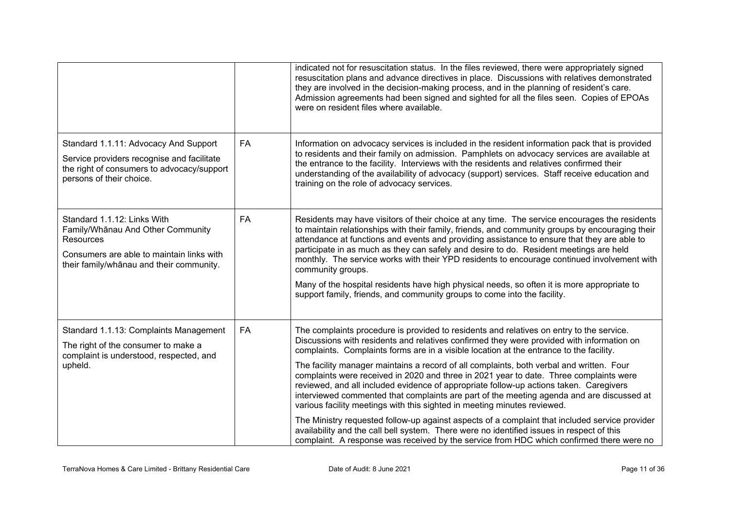|                                                                                                                                                                               |           | indicated not for resuscitation status. In the files reviewed, there were appropriately signed<br>resuscitation plans and advance directives in place. Discussions with relatives demonstrated<br>they are involved in the decision-making process, and in the planning of resident's care.<br>Admission agreements had been signed and sighted for all the files seen. Copies of EPOAs<br>were on resident files where available.                                                                                                                                                                                                                                                                                                                                                                                                                                                                                                                                                                                                   |
|-------------------------------------------------------------------------------------------------------------------------------------------------------------------------------|-----------|--------------------------------------------------------------------------------------------------------------------------------------------------------------------------------------------------------------------------------------------------------------------------------------------------------------------------------------------------------------------------------------------------------------------------------------------------------------------------------------------------------------------------------------------------------------------------------------------------------------------------------------------------------------------------------------------------------------------------------------------------------------------------------------------------------------------------------------------------------------------------------------------------------------------------------------------------------------------------------------------------------------------------------------|
| Standard 1.1.11: Advocacy And Support<br>Service providers recognise and facilitate<br>the right of consumers to advocacy/support<br>persons of their choice.                 | FA        | Information on advocacy services is included in the resident information pack that is provided<br>to residents and their family on admission. Pamphlets on advocacy services are available at<br>the entrance to the facility. Interviews with the residents and relatives confirmed their<br>understanding of the availability of advocacy (support) services. Staff receive education and<br>training on the role of advocacy services.                                                                                                                                                                                                                                                                                                                                                                                                                                                                                                                                                                                            |
| Standard 1.1.12: Links With<br>Family/Whanau And Other Community<br><b>Resources</b><br>Consumers are able to maintain links with<br>their family/whanau and their community. | <b>FA</b> | Residents may have visitors of their choice at any time. The service encourages the residents<br>to maintain relationships with their family, friends, and community groups by encouraging their<br>attendance at functions and events and providing assistance to ensure that they are able to<br>participate in as much as they can safely and desire to do. Resident meetings are held<br>monthly. The service works with their YPD residents to encourage continued involvement with<br>community groups.<br>Many of the hospital residents have high physical needs, so often it is more appropriate to<br>support family, friends, and community groups to come into the facility.                                                                                                                                                                                                                                                                                                                                             |
| Standard 1.1.13: Complaints Management<br>The right of the consumer to make a<br>complaint is understood, respected, and<br>upheld.                                           | <b>FA</b> | The complaints procedure is provided to residents and relatives on entry to the service.<br>Discussions with residents and relatives confirmed they were provided with information on<br>complaints. Complaints forms are in a visible location at the entrance to the facility.<br>The facility manager maintains a record of all complaints, both verbal and written. Four<br>complaints were received in 2020 and three in 2021 year to date. Three complaints were<br>reviewed, and all included evidence of appropriate follow-up actions taken. Caregivers<br>interviewed commented that complaints are part of the meeting agenda and are discussed at<br>various facility meetings with this sighted in meeting minutes reviewed.<br>The Ministry requested follow-up against aspects of a complaint that included service provider<br>availability and the call bell system. There were no identified issues in respect of this<br>complaint. A response was received by the service from HDC which confirmed there were no |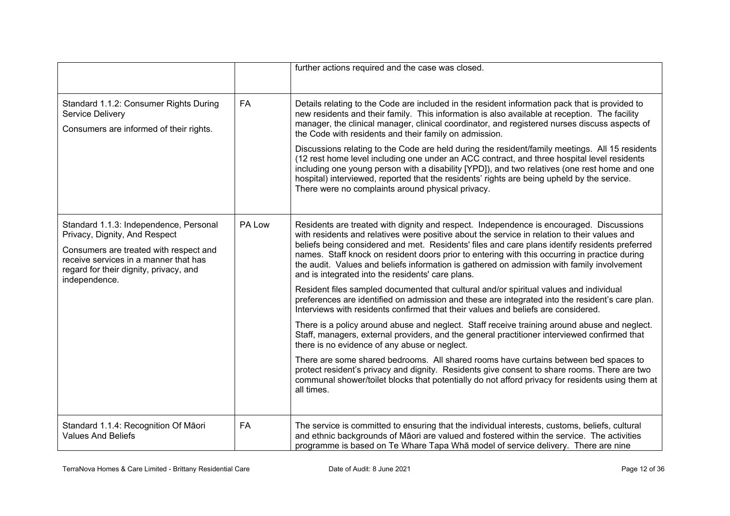|                                                                                                                                                                                                                       |           | further actions required and the case was closed.                                                                                                                                                                                                                                                                                                                                                                                                                                                                                             |
|-----------------------------------------------------------------------------------------------------------------------------------------------------------------------------------------------------------------------|-----------|-----------------------------------------------------------------------------------------------------------------------------------------------------------------------------------------------------------------------------------------------------------------------------------------------------------------------------------------------------------------------------------------------------------------------------------------------------------------------------------------------------------------------------------------------|
| Standard 1.1.2: Consumer Rights During<br>Service Delivery<br>Consumers are informed of their rights.                                                                                                                 | <b>FA</b> | Details relating to the Code are included in the resident information pack that is provided to<br>new residents and their family. This information is also available at reception. The facility<br>manager, the clinical manager, clinical coordinator, and registered nurses discuss aspects of<br>the Code with residents and their family on admission.                                                                                                                                                                                    |
|                                                                                                                                                                                                                       |           | Discussions relating to the Code are held during the resident/family meetings. All 15 residents<br>(12 rest home level including one under an ACC contract, and three hospital level residents<br>including one young person with a disability [YPD]), and two relatives (one rest home and one<br>hospital) interviewed, reported that the residents' rights are being upheld by the service.<br>There were no complaints around physical privacy.                                                                                           |
| Standard 1.1.3: Independence, Personal<br>Privacy, Dignity, And Respect<br>Consumers are treated with respect and<br>receive services in a manner that has<br>regard for their dignity, privacy, and<br>independence. | PA Low    | Residents are treated with dignity and respect. Independence is encouraged. Discussions<br>with residents and relatives were positive about the service in relation to their values and<br>beliefs being considered and met. Residents' files and care plans identify residents preferred<br>names. Staff knock on resident doors prior to entering with this occurring in practice during<br>the audit. Values and beliefs information is gathered on admission with family involvement<br>and is integrated into the residents' care plans. |
|                                                                                                                                                                                                                       |           | Resident files sampled documented that cultural and/or spiritual values and individual<br>preferences are identified on admission and these are integrated into the resident's care plan.<br>Interviews with residents confirmed that their values and beliefs are considered.                                                                                                                                                                                                                                                                |
|                                                                                                                                                                                                                       |           | There is a policy around abuse and neglect. Staff receive training around abuse and neglect.<br>Staff, managers, external providers, and the general practitioner interviewed confirmed that<br>there is no evidence of any abuse or neglect.                                                                                                                                                                                                                                                                                                 |
|                                                                                                                                                                                                                       |           | There are some shared bedrooms. All shared rooms have curtains between bed spaces to<br>protect resident's privacy and dignity. Residents give consent to share rooms. There are two<br>communal shower/toilet blocks that potentially do not afford privacy for residents using them at<br>all times.                                                                                                                                                                                                                                        |
| Standard 1.1.4: Recognition Of Māori<br><b>Values And Beliefs</b>                                                                                                                                                     | <b>FA</b> | The service is committed to ensuring that the individual interests, customs, beliefs, cultural<br>and ethnic backgrounds of Māori are valued and fostered within the service. The activities<br>programme is based on Te Whare Tapa Wha model of service delivery. There are nine                                                                                                                                                                                                                                                             |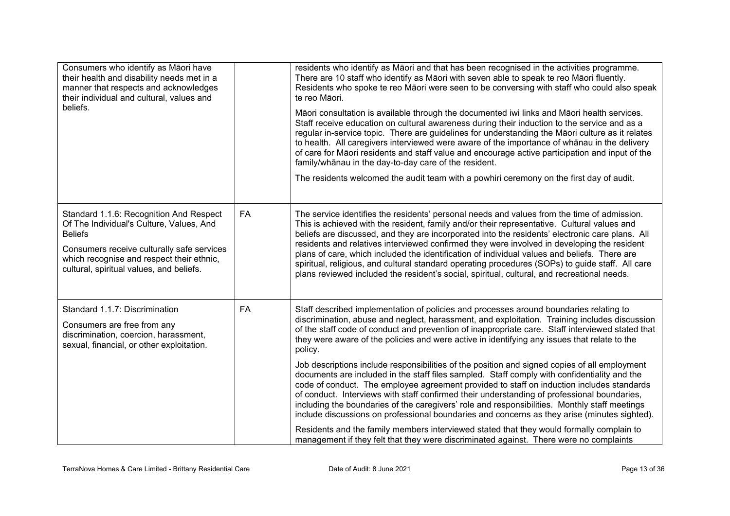| Consumers who identify as Māori have<br>their health and disability needs met in a<br>manner that respects and acknowledges<br>their individual and cultural, values and<br>beliefs.                                                         |           | residents who identify as Māori and that has been recognised in the activities programme.<br>There are 10 staff who identify as Māori with seven able to speak te reo Māori fluently.<br>Residents who spoke te reo Māori were seen to be conversing with staff who could also speak<br>te reo Māori.<br>Māori consultation is available through the documented iwi links and Māori health services.<br>Staff receive education on cultural awareness during their induction to the service and as a<br>regular in-service topic. There are guidelines for understanding the Māori culture as it relates<br>to health. All caregivers interviewed were aware of the importance of whanau in the delivery<br>of care for Māori residents and staff value and encourage active participation and input of the<br>family/whanau in the day-to-day care of the resident.<br>The residents welcomed the audit team with a powhiri ceremony on the first day of audit. |
|----------------------------------------------------------------------------------------------------------------------------------------------------------------------------------------------------------------------------------------------|-----------|------------------------------------------------------------------------------------------------------------------------------------------------------------------------------------------------------------------------------------------------------------------------------------------------------------------------------------------------------------------------------------------------------------------------------------------------------------------------------------------------------------------------------------------------------------------------------------------------------------------------------------------------------------------------------------------------------------------------------------------------------------------------------------------------------------------------------------------------------------------------------------------------------------------------------------------------------------------|
| Standard 1.1.6: Recognition And Respect<br>Of The Individual's Culture, Values, And<br><b>Beliefs</b><br>Consumers receive culturally safe services<br>which recognise and respect their ethnic,<br>cultural, spiritual values, and beliefs. | <b>FA</b> | The service identifies the residents' personal needs and values from the time of admission.<br>This is achieved with the resident, family and/or their representative. Cultural values and<br>beliefs are discussed, and they are incorporated into the residents' electronic care plans. All<br>residents and relatives interviewed confirmed they were involved in developing the resident<br>plans of care, which included the identification of individual values and beliefs. There are<br>spiritual, religious, and cultural standard operating procedures (SOPs) to guide staff. All care<br>plans reviewed included the resident's social, spiritual, cultural, and recreational needs.                                                                                                                                                                                                                                                                  |
| Standard 1.1.7: Discrimination<br>Consumers are free from any<br>discrimination, coercion, harassment,<br>sexual, financial, or other exploitation.                                                                                          | <b>FA</b> | Staff described implementation of policies and processes around boundaries relating to<br>discrimination, abuse and neglect, harassment, and exploitation. Training includes discussion<br>of the staff code of conduct and prevention of inappropriate care. Staff interviewed stated that<br>they were aware of the policies and were active in identifying any issues that relate to the<br>policy.                                                                                                                                                                                                                                                                                                                                                                                                                                                                                                                                                           |
|                                                                                                                                                                                                                                              |           | Job descriptions include responsibilities of the position and signed copies of all employment<br>documents are included in the staff files sampled. Staff comply with confidentiality and the<br>code of conduct. The employee agreement provided to staff on induction includes standards<br>of conduct. Interviews with staff confirmed their understanding of professional boundaries,<br>including the boundaries of the caregivers' role and responsibilities. Monthly staff meetings<br>include discussions on professional boundaries and concerns as they arise (minutes sighted).                                                                                                                                                                                                                                                                                                                                                                       |
|                                                                                                                                                                                                                                              |           | Residents and the family members interviewed stated that they would formally complain to<br>management if they felt that they were discriminated against. There were no complaints                                                                                                                                                                                                                                                                                                                                                                                                                                                                                                                                                                                                                                                                                                                                                                               |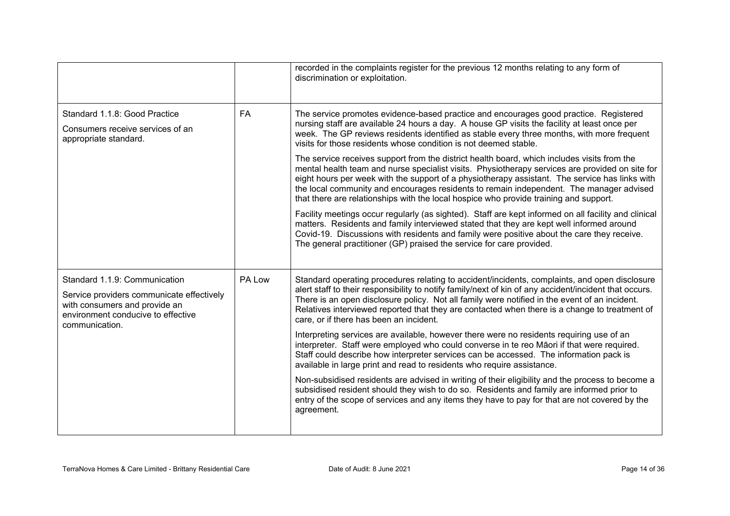|                                                                                                                                                                     |           | recorded in the complaints register for the previous 12 months relating to any form of<br>discrimination or exploitation.                                                                                                                                                                                                                                                                                                                                                            |
|---------------------------------------------------------------------------------------------------------------------------------------------------------------------|-----------|--------------------------------------------------------------------------------------------------------------------------------------------------------------------------------------------------------------------------------------------------------------------------------------------------------------------------------------------------------------------------------------------------------------------------------------------------------------------------------------|
| Standard 1.1.8: Good Practice<br>Consumers receive services of an<br>appropriate standard.                                                                          | <b>FA</b> | The service promotes evidence-based practice and encourages good practice. Registered<br>nursing staff are available 24 hours a day. A house GP visits the facility at least once per<br>week. The GP reviews residents identified as stable every three months, with more frequent<br>visits for those residents whose condition is not deemed stable.                                                                                                                              |
|                                                                                                                                                                     |           | The service receives support from the district health board, which includes visits from the<br>mental health team and nurse specialist visits. Physiotherapy services are provided on site for<br>eight hours per week with the support of a physiotherapy assistant. The service has links with<br>the local community and encourages residents to remain independent. The manager advised<br>that there are relationships with the local hospice who provide training and support. |
|                                                                                                                                                                     |           | Facility meetings occur regularly (as sighted). Staff are kept informed on all facility and clinical<br>matters. Residents and family interviewed stated that they are kept well informed around<br>Covid-19. Discussions with residents and family were positive about the care they receive.<br>The general practitioner (GP) praised the service for care provided.                                                                                                               |
| Standard 1.1.9: Communication<br>Service providers communicate effectively<br>with consumers and provide an<br>environment conducive to effective<br>communication. | PA Low    | Standard operating procedures relating to accident/incidents, complaints, and open disclosure<br>alert staff to their responsibility to notify family/next of kin of any accident/incident that occurs.<br>There is an open disclosure policy. Not all family were notified in the event of an incident.<br>Relatives interviewed reported that they are contacted when there is a change to treatment of<br>care, or if there has been an incident.                                 |
|                                                                                                                                                                     |           | Interpreting services are available, however there were no residents requiring use of an<br>interpreter. Staff were employed who could converse in te reo Māori if that were required.<br>Staff could describe how interpreter services can be accessed. The information pack is<br>available in large print and read to residents who require assistance.                                                                                                                           |
|                                                                                                                                                                     |           | Non-subsidised residents are advised in writing of their eligibility and the process to become a<br>subsidised resident should they wish to do so. Residents and family are informed prior to<br>entry of the scope of services and any items they have to pay for that are not covered by the<br>agreement.                                                                                                                                                                         |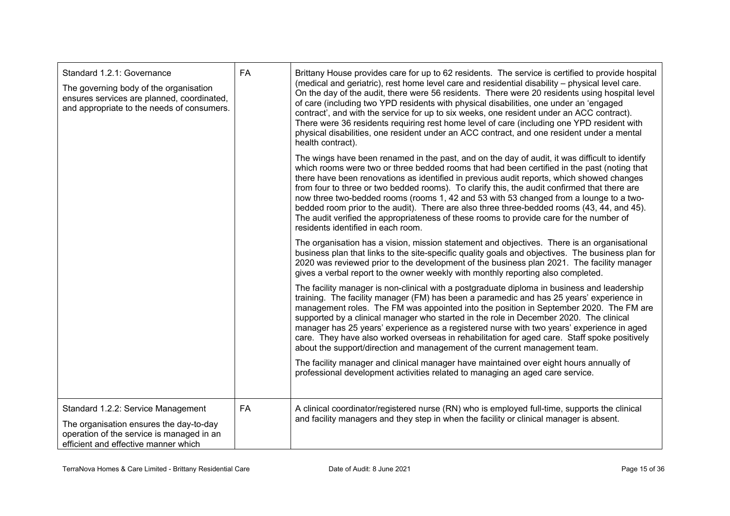| Standard 1.2.1: Governance<br>The governing body of the organisation<br>ensures services are planned, coordinated,<br>and appropriate to the needs of consumers.   | FA        | Brittany House provides care for up to 62 residents. The service is certified to provide hospital<br>(medical and geriatric), rest home level care and residential disability - physical level care.<br>On the day of the audit, there were 56 residents. There were 20 residents using hospital level<br>of care (including two YPD residents with physical disabilities, one under an 'engaged<br>contract', and with the service for up to six weeks, one resident under an ACC contract).<br>There were 36 residents requiring rest home level of care (including one YPD resident with<br>physical disabilities, one resident under an ACC contract, and one resident under a mental<br>health contract).      |
|--------------------------------------------------------------------------------------------------------------------------------------------------------------------|-----------|---------------------------------------------------------------------------------------------------------------------------------------------------------------------------------------------------------------------------------------------------------------------------------------------------------------------------------------------------------------------------------------------------------------------------------------------------------------------------------------------------------------------------------------------------------------------------------------------------------------------------------------------------------------------------------------------------------------------|
|                                                                                                                                                                    |           | The wings have been renamed in the past, and on the day of audit, it was difficult to identify<br>which rooms were two or three bedded rooms that had been certified in the past (noting that<br>there have been renovations as identified in previous audit reports, which showed changes<br>from four to three or two bedded rooms). To clarify this, the audit confirmed that there are<br>now three two-bedded rooms (rooms 1, 42 and 53 with 53 changed from a lounge to a two-<br>bedded room prior to the audit). There are also three three-bedded rooms (43, 44, and 45).<br>The audit verified the appropriateness of these rooms to provide care for the number of<br>residents identified in each room. |
|                                                                                                                                                                    |           | The organisation has a vision, mission statement and objectives. There is an organisational<br>business plan that links to the site-specific quality goals and objectives. The business plan for<br>2020 was reviewed prior to the development of the business plan 2021. The facility manager<br>gives a verbal report to the owner weekly with monthly reporting also completed.                                                                                                                                                                                                                                                                                                                                  |
|                                                                                                                                                                    |           | The facility manager is non-clinical with a postgraduate diploma in business and leadership<br>training. The facility manager (FM) has been a paramedic and has 25 years' experience in<br>management roles. The FM was appointed into the position in September 2020. The FM are<br>supported by a clinical manager who started in the role in December 2020. The clinical<br>manager has 25 years' experience as a registered nurse with two years' experience in aged<br>care. They have also worked overseas in rehabilitation for aged care. Staff spoke positively<br>about the support/direction and management of the current management team.                                                              |
|                                                                                                                                                                    |           | The facility manager and clinical manager have maintained over eight hours annually of<br>professional development activities related to managing an aged care service.                                                                                                                                                                                                                                                                                                                                                                                                                                                                                                                                             |
| Standard 1.2.2: Service Management<br>The organisation ensures the day-to-day<br>operation of the service is managed in an<br>efficient and effective manner which | <b>FA</b> | A clinical coordinator/registered nurse (RN) who is employed full-time, supports the clinical<br>and facility managers and they step in when the facility or clinical manager is absent.                                                                                                                                                                                                                                                                                                                                                                                                                                                                                                                            |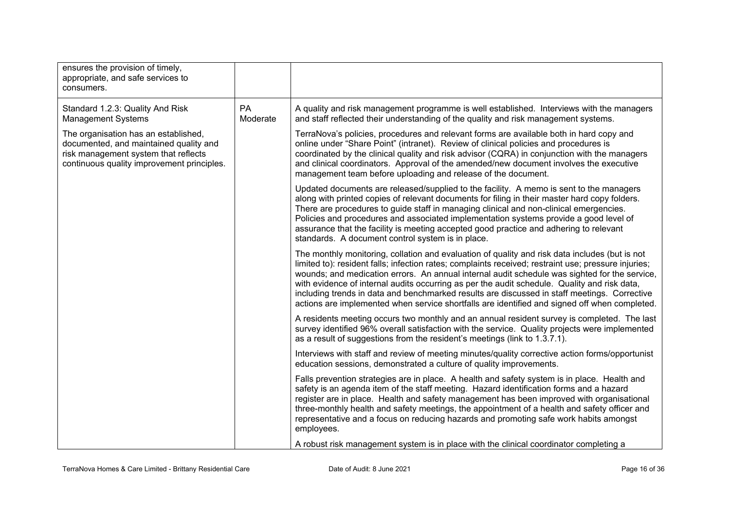| ensures the provision of timely,<br>appropriate, and safe services to<br>consumers.                                                                                  |                |                                                                                                                                                                                                                                                                                                                                                                                                                                                                                                                                                                                                          |
|----------------------------------------------------------------------------------------------------------------------------------------------------------------------|----------------|----------------------------------------------------------------------------------------------------------------------------------------------------------------------------------------------------------------------------------------------------------------------------------------------------------------------------------------------------------------------------------------------------------------------------------------------------------------------------------------------------------------------------------------------------------------------------------------------------------|
| Standard 1.2.3: Quality And Risk<br><b>Management Systems</b>                                                                                                        | PA<br>Moderate | A quality and risk management programme is well established. Interviews with the managers<br>and staff reflected their understanding of the quality and risk management systems.                                                                                                                                                                                                                                                                                                                                                                                                                         |
| The organisation has an established,<br>documented, and maintained quality and<br>risk management system that reflects<br>continuous quality improvement principles. |                | TerraNova's policies, procedures and relevant forms are available both in hard copy and<br>online under "Share Point" (intranet). Review of clinical policies and procedures is<br>coordinated by the clinical quality and risk advisor (CQRA) in conjunction with the managers<br>and clinical coordinators. Approval of the amended/new document involves the executive<br>management team before uploading and release of the document.                                                                                                                                                               |
|                                                                                                                                                                      |                | Updated documents are released/supplied to the facility. A memo is sent to the managers<br>along with printed copies of relevant documents for filing in their master hard copy folders.<br>There are procedures to guide staff in managing clinical and non-clinical emergencies.<br>Policies and procedures and associated implementation systems provide a good level of<br>assurance that the facility is meeting accepted good practice and adhering to relevant<br>standards. A document control system is in place.                                                                               |
|                                                                                                                                                                      |                | The monthly monitoring, collation and evaluation of quality and risk data includes (but is not<br>limited to): resident falls; infection rates; complaints received; restraint use; pressure injuries;<br>wounds; and medication errors. An annual internal audit schedule was sighted for the service,<br>with evidence of internal audits occurring as per the audit schedule. Quality and risk data,<br>including trends in data and benchmarked results are discussed in staff meetings. Corrective<br>actions are implemented when service shortfalls are identified and signed off when completed. |
|                                                                                                                                                                      |                | A residents meeting occurs two monthly and an annual resident survey is completed. The last<br>survey identified 96% overall satisfaction with the service. Quality projects were implemented<br>as a result of suggestions from the resident's meetings (link to 1.3.7.1).                                                                                                                                                                                                                                                                                                                              |
|                                                                                                                                                                      |                | Interviews with staff and review of meeting minutes/quality corrective action forms/opportunist<br>education sessions, demonstrated a culture of quality improvements.                                                                                                                                                                                                                                                                                                                                                                                                                                   |
|                                                                                                                                                                      |                | Falls prevention strategies are in place. A health and safety system is in place. Health and<br>safety is an agenda item of the staff meeting. Hazard identification forms and a hazard<br>register are in place. Health and safety management has been improved with organisational<br>three-monthly health and safety meetings, the appointment of a health and safety officer and<br>representative and a focus on reducing hazards and promoting safe work habits amongst<br>employees.                                                                                                              |
|                                                                                                                                                                      |                | A robust risk management system is in place with the clinical coordinator completing a                                                                                                                                                                                                                                                                                                                                                                                                                                                                                                                   |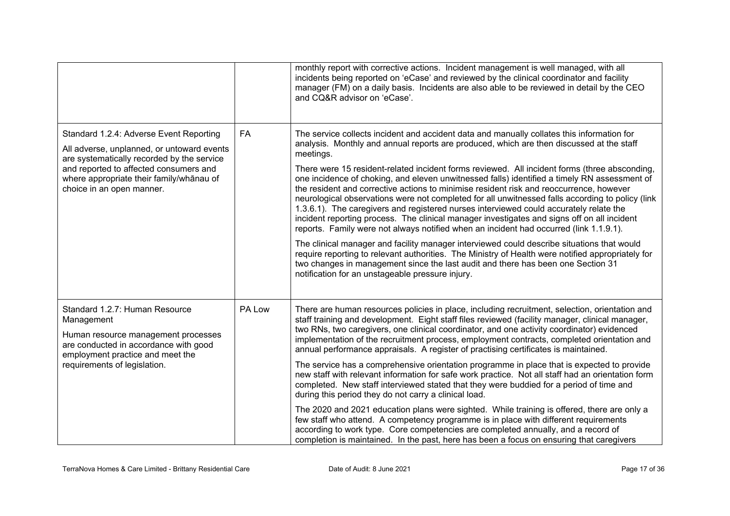|                                                                                                                                                                                                                                                        |           | monthly report with corrective actions. Incident management is well managed, with all<br>incidents being reported on 'eCase' and reviewed by the clinical coordinator and facility<br>manager (FM) on a daily basis. Incidents are also able to be reviewed in detail by the CEO<br>and CQ&R advisor on 'eCase'.                                                                                                                                                                                                                                                                                                                                                                                                                                                                                                                                                                                                                                                                                                                                                                                                                                                                                                                  |
|--------------------------------------------------------------------------------------------------------------------------------------------------------------------------------------------------------------------------------------------------------|-----------|-----------------------------------------------------------------------------------------------------------------------------------------------------------------------------------------------------------------------------------------------------------------------------------------------------------------------------------------------------------------------------------------------------------------------------------------------------------------------------------------------------------------------------------------------------------------------------------------------------------------------------------------------------------------------------------------------------------------------------------------------------------------------------------------------------------------------------------------------------------------------------------------------------------------------------------------------------------------------------------------------------------------------------------------------------------------------------------------------------------------------------------------------------------------------------------------------------------------------------------|
| Standard 1.2.4: Adverse Event Reporting<br>All adverse, unplanned, or untoward events<br>are systematically recorded by the service<br>and reported to affected consumers and<br>where appropriate their family/whānau of<br>choice in an open manner. | <b>FA</b> | The service collects incident and accident data and manually collates this information for<br>analysis. Monthly and annual reports are produced, which are then discussed at the staff<br>meetings.<br>There were 15 resident-related incident forms reviewed. All incident forms (three absconding,<br>one incidence of choking, and eleven unwitnessed falls) identified a timely RN assessment of<br>the resident and corrective actions to minimise resident risk and reoccurrence, however<br>neurological observations were not completed for all unwitnessed falls according to policy (link<br>1.3.6.1). The caregivers and registered nurses interviewed could accurately relate the<br>incident reporting process. The clinical manager investigates and signs off on all incident<br>reports. Family were not always notified when an incident had occurred (link 1.1.9.1).<br>The clinical manager and facility manager interviewed could describe situations that would<br>require reporting to relevant authorities. The Ministry of Health were notified appropriately for<br>two changes in management since the last audit and there has been one Section 31<br>notification for an unstageable pressure injury. |
| Standard 1.2.7: Human Resource<br>Management<br>Human resource management processes<br>are conducted in accordance with good<br>employment practice and meet the<br>requirements of legislation.                                                       | PA Low    | There are human resources policies in place, including recruitment, selection, orientation and<br>staff training and development. Eight staff files reviewed (facility manager, clinical manager,<br>two RNs, two caregivers, one clinical coordinator, and one activity coordinator) evidenced<br>implementation of the recruitment process, employment contracts, completed orientation and<br>annual performance appraisals. A register of practising certificates is maintained.<br>The service has a comprehensive orientation programme in place that is expected to provide<br>new staff with relevant information for safe work practice. Not all staff had an orientation form<br>completed. New staff interviewed stated that they were buddied for a period of time and<br>during this period they do not carry a clinical load.<br>The 2020 and 2021 education plans were sighted. While training is offered, there are only a<br>few staff who attend. A competency programme is in place with different requirements<br>according to work type. Core competencies are completed annually, and a record of<br>completion is maintained. In the past, here has been a focus on ensuring that caregivers               |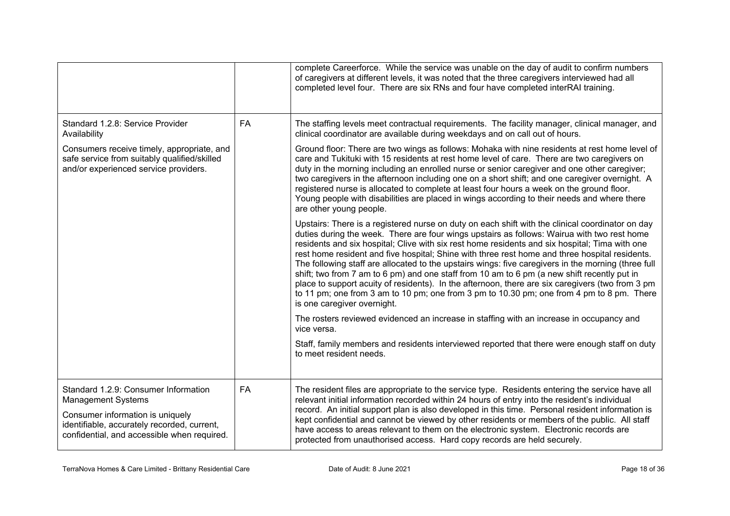|                                                                                                                                                                                                     |           | complete Careerforce. While the service was unable on the day of audit to confirm numbers<br>of caregivers at different levels, it was noted that the three caregivers interviewed had all<br>completed level four. There are six RNs and four have completed interRAI training.                                                                                                                                                                                                                                                                                                                                                                                                                                                                                                                                                          |
|-----------------------------------------------------------------------------------------------------------------------------------------------------------------------------------------------------|-----------|-------------------------------------------------------------------------------------------------------------------------------------------------------------------------------------------------------------------------------------------------------------------------------------------------------------------------------------------------------------------------------------------------------------------------------------------------------------------------------------------------------------------------------------------------------------------------------------------------------------------------------------------------------------------------------------------------------------------------------------------------------------------------------------------------------------------------------------------|
| Standard 1.2.8: Service Provider<br>Availability                                                                                                                                                    | <b>FA</b> | The staffing levels meet contractual requirements. The facility manager, clinical manager, and<br>clinical coordinator are available during weekdays and on call out of hours.                                                                                                                                                                                                                                                                                                                                                                                                                                                                                                                                                                                                                                                            |
| Consumers receive timely, appropriate, and<br>safe service from suitably qualified/skilled<br>and/or experienced service providers.                                                                 |           | Ground floor: There are two wings as follows: Mohaka with nine residents at rest home level of<br>care and Tukituki with 15 residents at rest home level of care. There are two caregivers on<br>duty in the morning including an enrolled nurse or senior caregiver and one other caregiver;<br>two caregivers in the afternoon including one on a short shift; and one caregiver overnight. A<br>registered nurse is allocated to complete at least four hours a week on the ground floor.<br>Young people with disabilities are placed in wings according to their needs and where there<br>are other young people.                                                                                                                                                                                                                    |
|                                                                                                                                                                                                     |           | Upstairs: There is a registered nurse on duty on each shift with the clinical coordinator on day<br>duties during the week. There are four wings upstairs as follows: Wairua with two rest home<br>residents and six hospital; Clive with six rest home residents and six hospital; Tima with one<br>rest home resident and five hospital; Shine with three rest home and three hospital residents.<br>The following staff are allocated to the upstairs wings: five caregivers in the morning (three full<br>shift; two from 7 am to 6 pm) and one staff from 10 am to 6 pm (a new shift recently put in<br>place to support acuity of residents). In the afternoon, there are six caregivers (two from 3 pm<br>to 11 pm; one from 3 am to 10 pm; one from 3 pm to 10.30 pm; one from 4 pm to 8 pm. There<br>is one caregiver overnight. |
|                                                                                                                                                                                                     |           | The rosters reviewed evidenced an increase in staffing with an increase in occupancy and<br>vice versa.                                                                                                                                                                                                                                                                                                                                                                                                                                                                                                                                                                                                                                                                                                                                   |
|                                                                                                                                                                                                     |           | Staff, family members and residents interviewed reported that there were enough staff on duty<br>to meet resident needs.                                                                                                                                                                                                                                                                                                                                                                                                                                                                                                                                                                                                                                                                                                                  |
| Standard 1.2.9: Consumer Information<br><b>Management Systems</b><br>Consumer information is uniquely<br>identifiable, accurately recorded, current,<br>confidential, and accessible when required. | <b>FA</b> | The resident files are appropriate to the service type. Residents entering the service have all<br>relevant initial information recorded within 24 hours of entry into the resident's individual<br>record. An initial support plan is also developed in this time. Personal resident information is<br>kept confidential and cannot be viewed by other residents or members of the public. All staff<br>have access to areas relevant to them on the electronic system. Electronic records are<br>protected from unauthorised access. Hard copy records are held securely.                                                                                                                                                                                                                                                               |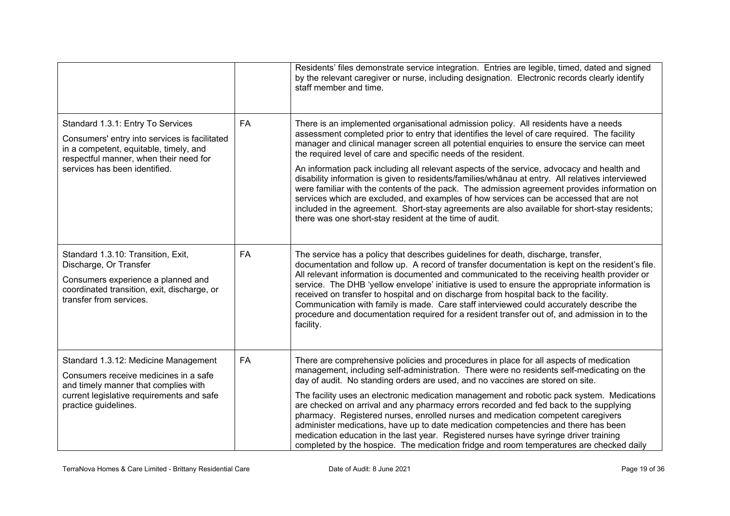|                                                                                                                                                                                                         |           | Residents' files demonstrate service integration. Entries are legible, timed, dated and signed<br>by the relevant caregiver or nurse, including designation. Electronic records clearly identify<br>staff member and time.                                                                                                                                                                                                                                                                                                                                                                                                                                                                                                                                                                                                                                                                                  |
|---------------------------------------------------------------------------------------------------------------------------------------------------------------------------------------------------------|-----------|-------------------------------------------------------------------------------------------------------------------------------------------------------------------------------------------------------------------------------------------------------------------------------------------------------------------------------------------------------------------------------------------------------------------------------------------------------------------------------------------------------------------------------------------------------------------------------------------------------------------------------------------------------------------------------------------------------------------------------------------------------------------------------------------------------------------------------------------------------------------------------------------------------------|
| Standard 1.3.1: Entry To Services<br>Consumers' entry into services is facilitated<br>in a competent, equitable, timely, and<br>respectful manner, when their need for<br>services has been identified. | <b>FA</b> | There is an implemented organisational admission policy. All residents have a needs<br>assessment completed prior to entry that identifies the level of care required. The facility<br>manager and clinical manager screen all potential enquiries to ensure the service can meet<br>the required level of care and specific needs of the resident.<br>An information pack including all relevant aspects of the service, advocacy and health and<br>disability information is given to residents/families/whanau at entry. All relatives interviewed<br>were familiar with the contents of the pack. The admission agreement provides information on<br>services which are excluded, and examples of how services can be accessed that are not<br>included in the agreement. Short-stay agreements are also available for short-stay residents;<br>there was one short-stay resident at the time of audit. |
| Standard 1.3.10: Transition, Exit,<br>Discharge, Or Transfer<br>Consumers experience a planned and<br>coordinated transition, exit, discharge, or<br>transfer from services.                            | <b>FA</b> | The service has a policy that describes guidelines for death, discharge, transfer,<br>documentation and follow up. A record of transfer documentation is kept on the resident's file.<br>All relevant information is documented and communicated to the receiving health provider or<br>service. The DHB 'yellow envelope' initiative is used to ensure the appropriate information is<br>received on transfer to hospital and on discharge from hospital back to the facility.<br>Communication with family is made. Care staff interviewed could accurately describe the<br>procedure and documentation required for a resident transfer out of, and admission in to the<br>facility.                                                                                                                                                                                                                     |
| Standard 1.3.12: Medicine Management<br>Consumers receive medicines in a safe<br>and timely manner that complies with<br>current legislative requirements and safe<br>practice guidelines.              | <b>FA</b> | There are comprehensive policies and procedures in place for all aspects of medication<br>management, including self-administration. There were no residents self-medicating on the<br>day of audit. No standing orders are used, and no vaccines are stored on site.<br>The facility uses an electronic medication management and robotic pack system. Medications<br>are checked on arrival and any pharmacy errors recorded and fed back to the supplying<br>pharmacy. Registered nurses, enrolled nurses and medication competent caregivers<br>administer medications, have up to date medication competencies and there has been<br>medication education in the last year. Registered nurses have syringe driver training<br>completed by the hospice. The medication fridge and room temperatures are checked daily                                                                                  |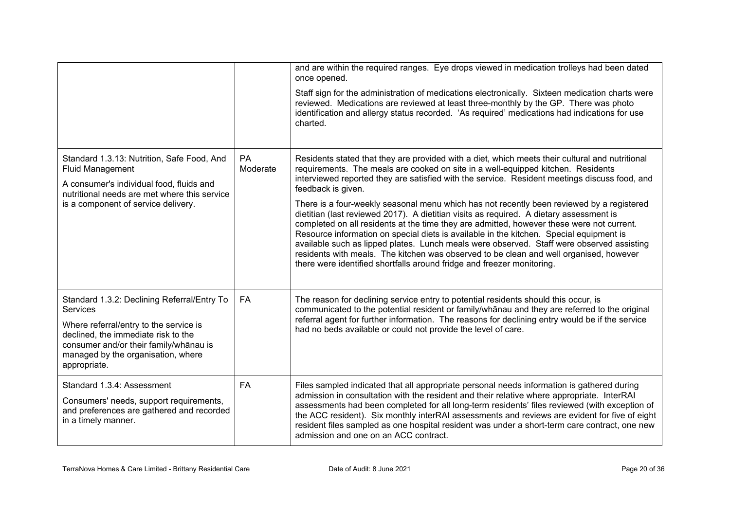|                                                                                                                                                                                                                                                 |                       | and are within the required ranges. Eye drops viewed in medication trolleys had been dated<br>once opened.                                                                                                                                                                                                                                                                                                                                                                                                                                                                                                                                    |
|-------------------------------------------------------------------------------------------------------------------------------------------------------------------------------------------------------------------------------------------------|-----------------------|-----------------------------------------------------------------------------------------------------------------------------------------------------------------------------------------------------------------------------------------------------------------------------------------------------------------------------------------------------------------------------------------------------------------------------------------------------------------------------------------------------------------------------------------------------------------------------------------------------------------------------------------------|
|                                                                                                                                                                                                                                                 |                       | Staff sign for the administration of medications electronically. Sixteen medication charts were<br>reviewed. Medications are reviewed at least three-monthly by the GP. There was photo<br>identification and allergy status recorded. 'As required' medications had indications for use<br>charted.                                                                                                                                                                                                                                                                                                                                          |
| Standard 1.3.13: Nutrition, Safe Food, And<br><b>Fluid Management</b><br>A consumer's individual food, fluids and<br>nutritional needs are met where this service                                                                               | <b>PA</b><br>Moderate | Residents stated that they are provided with a diet, which meets their cultural and nutritional<br>requirements. The meals are cooked on site in a well-equipped kitchen. Residents<br>interviewed reported they are satisfied with the service. Resident meetings discuss food, and<br>feedback is given.                                                                                                                                                                                                                                                                                                                                    |
| is a component of service delivery.                                                                                                                                                                                                             |                       | There is a four-weekly seasonal menu which has not recently been reviewed by a registered<br>dietitian (last reviewed 2017). A dietitian visits as required. A dietary assessment is<br>completed on all residents at the time they are admitted, however these were not current.<br>Resource information on special diets is available in the kitchen. Special equipment is<br>available such as lipped plates. Lunch meals were observed. Staff were observed assisting<br>residents with meals. The kitchen was observed to be clean and well organised, however<br>there were identified shortfalls around fridge and freezer monitoring. |
| Standard 1.3.2: Declining Referral/Entry To<br><b>Services</b><br>Where referral/entry to the service is<br>declined, the immediate risk to the<br>consumer and/or their family/whānau is<br>managed by the organisation, where<br>appropriate. | <b>FA</b>             | The reason for declining service entry to potential residents should this occur, is<br>communicated to the potential resident or family/whanau and they are referred to the original<br>referral agent for further information. The reasons for declining entry would be if the service<br>had no beds available or could not provide the level of care.                                                                                                                                                                                                                                                                                      |
| Standard 1.3.4: Assessment<br>Consumers' needs, support requirements,<br>and preferences are gathered and recorded<br>in a timely manner.                                                                                                       | <b>FA</b>             | Files sampled indicated that all appropriate personal needs information is gathered during<br>admission in consultation with the resident and their relative where appropriate. InterRAI<br>assessments had been completed for all long-term residents' files reviewed (with exception of<br>the ACC resident). Six monthly interRAI assessments and reviews are evident for five of eight<br>resident files sampled as one hospital resident was under a short-term care contract, one new<br>admission and one on an ACC contract.                                                                                                          |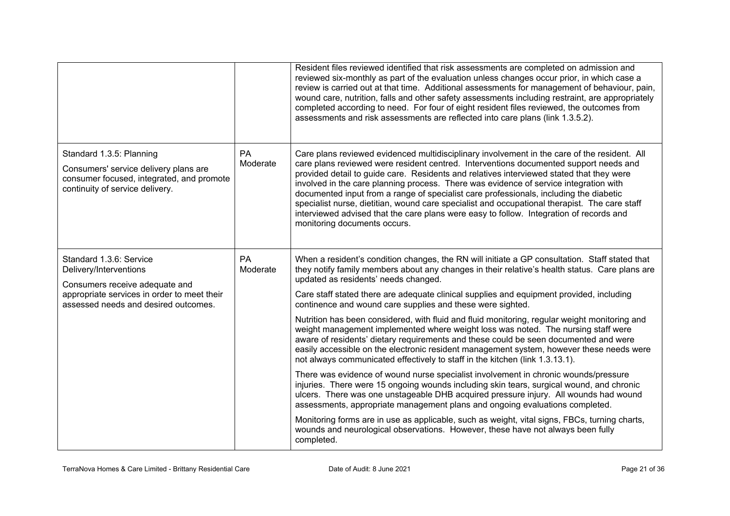|                                                                                                                                                   |                       | Resident files reviewed identified that risk assessments are completed on admission and<br>reviewed six-monthly as part of the evaluation unless changes occur prior, in which case a<br>review is carried out at that time. Additional assessments for management of behaviour, pain,<br>wound care, nutrition, falls and other safety assessments including restraint, are appropriately<br>completed according to need. For four of eight resident files reviewed, the outcomes from<br>assessments and risk assessments are reflected into care plans (link 1.3.5.2).                                                                                                                        |
|---------------------------------------------------------------------------------------------------------------------------------------------------|-----------------------|--------------------------------------------------------------------------------------------------------------------------------------------------------------------------------------------------------------------------------------------------------------------------------------------------------------------------------------------------------------------------------------------------------------------------------------------------------------------------------------------------------------------------------------------------------------------------------------------------------------------------------------------------------------------------------------------------|
| Standard 1.3.5: Planning<br>Consumers' service delivery plans are<br>consumer focused, integrated, and promote<br>continuity of service delivery. | <b>PA</b><br>Moderate | Care plans reviewed evidenced multidisciplinary involvement in the care of the resident. All<br>care plans reviewed were resident centred. Interventions documented support needs and<br>provided detail to guide care. Residents and relatives interviewed stated that they were<br>involved in the care planning process. There was evidence of service integration with<br>documented input from a range of specialist care professionals, including the diabetic<br>specialist nurse, dietitian, wound care specialist and occupational therapist. The care staff<br>interviewed advised that the care plans were easy to follow. Integration of records and<br>monitoring documents occurs. |
| Standard 1.3.6: Service<br>Delivery/Interventions<br>Consumers receive adequate and                                                               | PA<br>Moderate        | When a resident's condition changes, the RN will initiate a GP consultation. Staff stated that<br>they notify family members about any changes in their relative's health status. Care plans are<br>updated as residents' needs changed.                                                                                                                                                                                                                                                                                                                                                                                                                                                         |
| appropriate services in order to meet their<br>assessed needs and desired outcomes.                                                               |                       | Care staff stated there are adequate clinical supplies and equipment provided, including<br>continence and wound care supplies and these were sighted.                                                                                                                                                                                                                                                                                                                                                                                                                                                                                                                                           |
|                                                                                                                                                   |                       | Nutrition has been considered, with fluid and fluid monitoring, regular weight monitoring and<br>weight management implemented where weight loss was noted. The nursing staff were<br>aware of residents' dietary requirements and these could be seen documented and were<br>easily accessible on the electronic resident management system, however these needs were<br>not always communicated effectively to staff in the kitchen (link 1.3.13.1).                                                                                                                                                                                                                                           |
|                                                                                                                                                   |                       | There was evidence of wound nurse specialist involvement in chronic wounds/pressure<br>injuries. There were 15 ongoing wounds including skin tears, surgical wound, and chronic<br>ulcers. There was one unstageable DHB acquired pressure injury. All wounds had wound<br>assessments, appropriate management plans and ongoing evaluations completed.                                                                                                                                                                                                                                                                                                                                          |
|                                                                                                                                                   |                       | Monitoring forms are in use as applicable, such as weight, vital signs, FBCs, turning charts,<br>wounds and neurological observations. However, these have not always been fully<br>completed.                                                                                                                                                                                                                                                                                                                                                                                                                                                                                                   |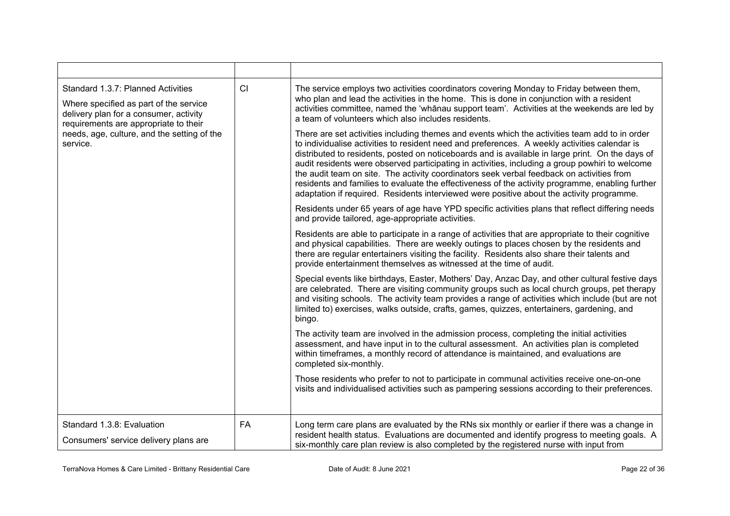| CI<br>Standard 1.3.7: Planned Activities<br>The service employs two activities coordinators covering Monday to Friday between them,<br>who plan and lead the activities in the home. This is done in conjunction with a resident<br>Where specified as part of the service<br>activities committee, named the 'whānau support team'. Activities at the weekends are led by<br>delivery plan for a consumer, activity<br>a team of volunteers which also includes residents.<br>requirements are appropriate to their<br>needs, age, culture, and the setting of the<br>There are set activities including themes and events which the activities team add to in order<br>to individualise activities to resident need and preferences. A weekly activities calendar is<br>service.<br>distributed to residents, posted on noticeboards and is available in large print. On the days of<br>audit residents were observed participating in activities, including a group powhiri to welcome |  |
|-------------------------------------------------------------------------------------------------------------------------------------------------------------------------------------------------------------------------------------------------------------------------------------------------------------------------------------------------------------------------------------------------------------------------------------------------------------------------------------------------------------------------------------------------------------------------------------------------------------------------------------------------------------------------------------------------------------------------------------------------------------------------------------------------------------------------------------------------------------------------------------------------------------------------------------------------------------------------------------------|--|
|                                                                                                                                                                                                                                                                                                                                                                                                                                                                                                                                                                                                                                                                                                                                                                                                                                                                                                                                                                                           |  |
| the audit team on site. The activity coordinators seek verbal feedback on activities from<br>residents and families to evaluate the effectiveness of the activity programme, enabling further<br>adaptation if required. Residents interviewed were positive about the activity programme.                                                                                                                                                                                                                                                                                                                                                                                                                                                                                                                                                                                                                                                                                                |  |
| Residents under 65 years of age have YPD specific activities plans that reflect differing needs<br>and provide tailored, age-appropriate activities.                                                                                                                                                                                                                                                                                                                                                                                                                                                                                                                                                                                                                                                                                                                                                                                                                                      |  |
| Residents are able to participate in a range of activities that are appropriate to their cognitive<br>and physical capabilities. There are weekly outings to places chosen by the residents and<br>there are regular entertainers visiting the facility. Residents also share their talents and<br>provide entertainment themselves as witnessed at the time of audit.                                                                                                                                                                                                                                                                                                                                                                                                                                                                                                                                                                                                                    |  |
| Special events like birthdays, Easter, Mothers' Day, Anzac Day, and other cultural festive days<br>are celebrated. There are visiting community groups such as local church groups, pet therapy<br>and visiting schools. The activity team provides a range of activities which include (but are not<br>limited to) exercises, walks outside, crafts, games, quizzes, entertainers, gardening, and<br>bingo.                                                                                                                                                                                                                                                                                                                                                                                                                                                                                                                                                                              |  |
| The activity team are involved in the admission process, completing the initial activities<br>assessment, and have input in to the cultural assessment. An activities plan is completed<br>within timeframes, a monthly record of attendance is maintained, and evaluations are<br>completed six-monthly.                                                                                                                                                                                                                                                                                                                                                                                                                                                                                                                                                                                                                                                                                 |  |
| Those residents who prefer to not to participate in communal activities receive one-on-one<br>visits and individualised activities such as pampering sessions according to their preferences.                                                                                                                                                                                                                                                                                                                                                                                                                                                                                                                                                                                                                                                                                                                                                                                             |  |
| Standard 1.3.8: Evaluation<br>FA<br>Long term care plans are evaluated by the RNs six monthly or earlier if there was a change in<br>resident health status. Evaluations are documented and identify progress to meeting goals. A<br>Consumers' service delivery plans are<br>six-monthly care plan review is also completed by the registered nurse with input from                                                                                                                                                                                                                                                                                                                                                                                                                                                                                                                                                                                                                      |  |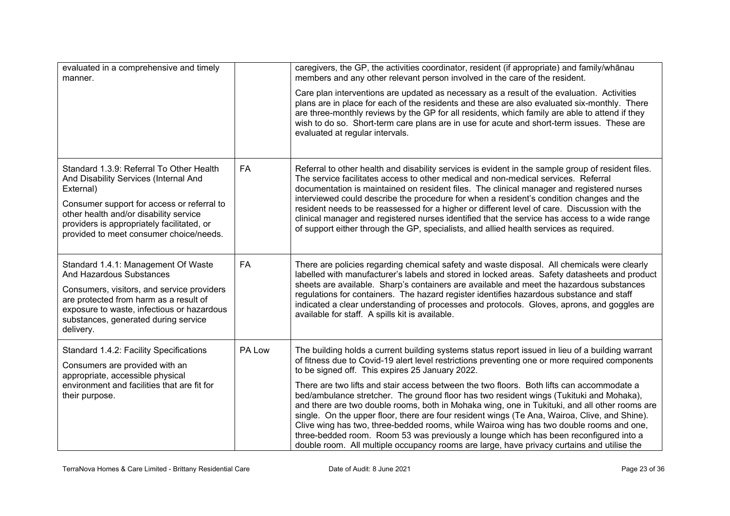| evaluated in a comprehensive and timely<br>manner.                                                                                                                                                                                                                              |           | caregivers, the GP, the activities coordinator, resident (if appropriate) and family/whānau<br>members and any other relevant person involved in the care of the resident.                                                                                                                                                                                                                                                                                                                                                                                                                                                                                                                                                                                                                                                                                                                                                        |
|---------------------------------------------------------------------------------------------------------------------------------------------------------------------------------------------------------------------------------------------------------------------------------|-----------|-----------------------------------------------------------------------------------------------------------------------------------------------------------------------------------------------------------------------------------------------------------------------------------------------------------------------------------------------------------------------------------------------------------------------------------------------------------------------------------------------------------------------------------------------------------------------------------------------------------------------------------------------------------------------------------------------------------------------------------------------------------------------------------------------------------------------------------------------------------------------------------------------------------------------------------|
|                                                                                                                                                                                                                                                                                 |           | Care plan interventions are updated as necessary as a result of the evaluation. Activities<br>plans are in place for each of the residents and these are also evaluated six-monthly. There<br>are three-monthly reviews by the GP for all residents, which family are able to attend if they<br>wish to do so. Short-term care plans are in use for acute and short-term issues. These are<br>evaluated at regular intervals.                                                                                                                                                                                                                                                                                                                                                                                                                                                                                                     |
| Standard 1.3.9: Referral To Other Health<br>And Disability Services (Internal And<br>External)<br>Consumer support for access or referral to<br>other health and/or disability service<br>providers is appropriately facilitated, or<br>provided to meet consumer choice/needs. | <b>FA</b> | Referral to other health and disability services is evident in the sample group of resident files.<br>The service facilitates access to other medical and non-medical services. Referral<br>documentation is maintained on resident files. The clinical manager and registered nurses<br>interviewed could describe the procedure for when a resident's condition changes and the<br>resident needs to be reassessed for a higher or different level of care. Discussion with the<br>clinical manager and registered nurses identified that the service has access to a wide range<br>of support either through the GP, specialists, and allied health services as required.                                                                                                                                                                                                                                                      |
| Standard 1.4.1: Management Of Waste<br>And Hazardous Substances<br>Consumers, visitors, and service providers<br>are protected from harm as a result of<br>exposure to waste, infectious or hazardous<br>substances, generated during service<br>delivery.                      | <b>FA</b> | There are policies regarding chemical safety and waste disposal. All chemicals were clearly<br>labelled with manufacturer's labels and stored in locked areas. Safety datasheets and product<br>sheets are available. Sharp's containers are available and meet the hazardous substances<br>regulations for containers. The hazard register identifies hazardous substance and staff<br>indicated a clear understanding of processes and protocols. Gloves, aprons, and goggles are<br>available for staff. A spills kit is available.                                                                                                                                                                                                                                                                                                                                                                                            |
| Standard 1.4.2: Facility Specifications<br>Consumers are provided with an<br>appropriate, accessible physical<br>environment and facilities that are fit for<br>their purpose.                                                                                                  | PA Low    | The building holds a current building systems status report issued in lieu of a building warrant<br>of fitness due to Covid-19 alert level restrictions preventing one or more required components<br>to be signed off. This expires 25 January 2022.<br>There are two lifts and stair access between the two floors. Both lifts can accommodate a<br>bed/ambulance stretcher. The ground floor has two resident wings (Tukituki and Mohaka),<br>and there are two double rooms, both in Mohaka wing, one in Tukituki, and all other rooms are<br>single. On the upper floor, there are four resident wings (Te Ana, Wairoa, Clive, and Shine).<br>Clive wing has two, three-bedded rooms, while Wairoa wing has two double rooms and one,<br>three-bedded room. Room 53 was previously a lounge which has been reconfigured into a<br>double room. All multiple occupancy rooms are large, have privacy curtains and utilise the |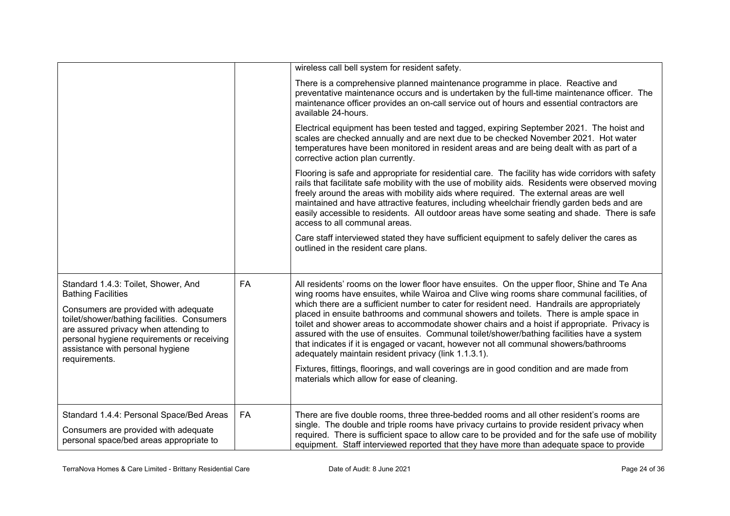|                                                                                                                                                                                                                                                                                                     |    | wireless call bell system for resident safety.                                                                                                                                                                                                                                                                                                                                                                                                                                                                                                                                                                                                                                                                                |
|-----------------------------------------------------------------------------------------------------------------------------------------------------------------------------------------------------------------------------------------------------------------------------------------------------|----|-------------------------------------------------------------------------------------------------------------------------------------------------------------------------------------------------------------------------------------------------------------------------------------------------------------------------------------------------------------------------------------------------------------------------------------------------------------------------------------------------------------------------------------------------------------------------------------------------------------------------------------------------------------------------------------------------------------------------------|
|                                                                                                                                                                                                                                                                                                     |    | There is a comprehensive planned maintenance programme in place. Reactive and<br>preventative maintenance occurs and is undertaken by the full-time maintenance officer. The<br>maintenance officer provides an on-call service out of hours and essential contractors are<br>available 24-hours.                                                                                                                                                                                                                                                                                                                                                                                                                             |
|                                                                                                                                                                                                                                                                                                     |    | Electrical equipment has been tested and tagged, expiring September 2021. The hoist and<br>scales are checked annually and are next due to be checked November 2021. Hot water<br>temperatures have been monitored in resident areas and are being dealt with as part of a<br>corrective action plan currently.                                                                                                                                                                                                                                                                                                                                                                                                               |
|                                                                                                                                                                                                                                                                                                     |    | Flooring is safe and appropriate for residential care. The facility has wide corridors with safety<br>rails that facilitate safe mobility with the use of mobility aids. Residents were observed moving<br>freely around the areas with mobility aids where required. The external areas are well<br>maintained and have attractive features, including wheelchair friendly garden beds and are<br>easily accessible to residents. All outdoor areas have some seating and shade. There is safe<br>access to all communal areas.                                                                                                                                                                                              |
|                                                                                                                                                                                                                                                                                                     |    | Care staff interviewed stated they have sufficient equipment to safely deliver the cares as<br>outlined in the resident care plans.                                                                                                                                                                                                                                                                                                                                                                                                                                                                                                                                                                                           |
| Standard 1.4.3: Toilet, Shower, And<br><b>Bathing Facilities</b><br>Consumers are provided with adequate<br>toilet/shower/bathing facilities. Consumers<br>are assured privacy when attending to<br>personal hygiene requirements or receiving<br>assistance with personal hygiene<br>requirements. | FA | All residents' rooms on the lower floor have ensuites. On the upper floor, Shine and Te Ana<br>wing rooms have ensuites, while Wairoa and Clive wing rooms share communal facilities, of<br>which there are a sufficient number to cater for resident need. Handrails are appropriately<br>placed in ensuite bathrooms and communal showers and toilets. There is ample space in<br>toilet and shower areas to accommodate shower chairs and a hoist if appropriate. Privacy is<br>assured with the use of ensuites. Communal toilet/shower/bathing facilities have a system<br>that indicates if it is engaged or vacant, however not all communal showers/bathrooms<br>adequately maintain resident privacy (link 1.1.3.1). |
|                                                                                                                                                                                                                                                                                                     |    | Fixtures, fittings, floorings, and wall coverings are in good condition and are made from<br>materials which allow for ease of cleaning.                                                                                                                                                                                                                                                                                                                                                                                                                                                                                                                                                                                      |
| Standard 1.4.4: Personal Space/Bed Areas<br>Consumers are provided with adequate<br>personal space/bed areas appropriate to                                                                                                                                                                         | FA | There are five double rooms, three three-bedded rooms and all other resident's rooms are<br>single. The double and triple rooms have privacy curtains to provide resident privacy when<br>required. There is sufficient space to allow care to be provided and for the safe use of mobility<br>equipment. Staff interviewed reported that they have more than adequate space to provide                                                                                                                                                                                                                                                                                                                                       |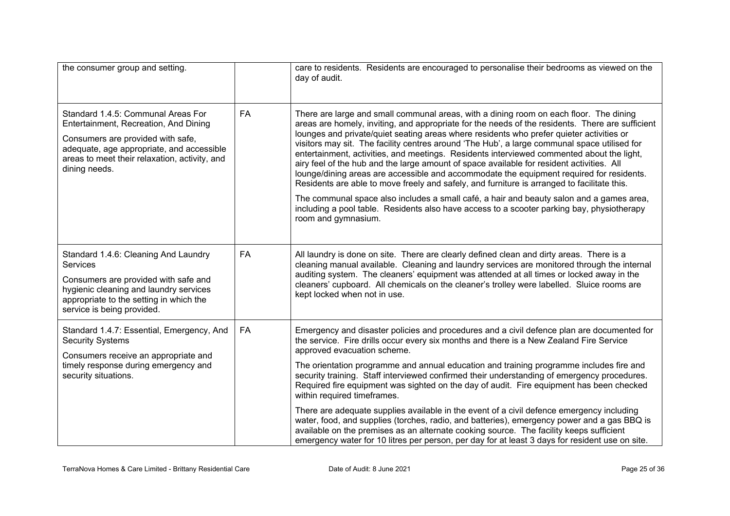| the consumer group and setting.                                                                                                                                                                                                 |    | care to residents. Residents are encouraged to personalise their bedrooms as viewed on the<br>day of audit.                                                                                                                                                                                                                                                                                                                                                                                                                                                                                                                                                                                                                                                                                                                                                                                                                                                                                  |
|---------------------------------------------------------------------------------------------------------------------------------------------------------------------------------------------------------------------------------|----|----------------------------------------------------------------------------------------------------------------------------------------------------------------------------------------------------------------------------------------------------------------------------------------------------------------------------------------------------------------------------------------------------------------------------------------------------------------------------------------------------------------------------------------------------------------------------------------------------------------------------------------------------------------------------------------------------------------------------------------------------------------------------------------------------------------------------------------------------------------------------------------------------------------------------------------------------------------------------------------------|
| Standard 1.4.5: Communal Areas For<br>Entertainment, Recreation, And Dining<br>Consumers are provided with safe,<br>adequate, age appropriate, and accessible<br>areas to meet their relaxation, activity, and<br>dining needs. | FA | There are large and small communal areas, with a dining room on each floor. The dining<br>areas are homely, inviting, and appropriate for the needs of the residents. There are sufficient<br>lounges and private/quiet seating areas where residents who prefer quieter activities or<br>visitors may sit. The facility centres around 'The Hub', a large communal space utilised for<br>entertainment, activities, and meetings. Residents interviewed commented about the light,<br>airy feel of the hub and the large amount of space available for resident activities. All<br>lounge/dining areas are accessible and accommodate the equipment required for residents.<br>Residents are able to move freely and safely, and furniture is arranged to facilitate this.<br>The communal space also includes a small café, a hair and beauty salon and a games area,<br>including a pool table. Residents also have access to a scooter parking bay, physiotherapy<br>room and gymnasium. |
|                                                                                                                                                                                                                                 |    |                                                                                                                                                                                                                                                                                                                                                                                                                                                                                                                                                                                                                                                                                                                                                                                                                                                                                                                                                                                              |
| Standard 1.4.6: Cleaning And Laundry<br><b>Services</b><br>Consumers are provided with safe and<br>hygienic cleaning and laundry services<br>appropriate to the setting in which the<br>service is being provided.              | FA | All laundry is done on site. There are clearly defined clean and dirty areas. There is a<br>cleaning manual available. Cleaning and laundry services are monitored through the internal<br>auditing system. The cleaners' equipment was attended at all times or locked away in the<br>cleaners' cupboard. All chemicals on the cleaner's trolley were labelled. Sluice rooms are<br>kept locked when not in use.                                                                                                                                                                                                                                                                                                                                                                                                                                                                                                                                                                            |
| Standard 1.4.7: Essential, Emergency, And<br><b>Security Systems</b>                                                                                                                                                            | FA | Emergency and disaster policies and procedures and a civil defence plan are documented for<br>the service. Fire drills occur every six months and there is a New Zealand Fire Service<br>approved evacuation scheme.                                                                                                                                                                                                                                                                                                                                                                                                                                                                                                                                                                                                                                                                                                                                                                         |
| Consumers receive an appropriate and<br>timely response during emergency and<br>security situations.                                                                                                                            |    | The orientation programme and annual education and training programme includes fire and<br>security training. Staff interviewed confirmed their understanding of emergency procedures.<br>Required fire equipment was sighted on the day of audit. Fire equipment has been checked<br>within required timeframes.                                                                                                                                                                                                                                                                                                                                                                                                                                                                                                                                                                                                                                                                            |
|                                                                                                                                                                                                                                 |    | There are adequate supplies available in the event of a civil defence emergency including<br>water, food, and supplies (torches, radio, and batteries), emergency power and a gas BBQ is<br>available on the premises as an alternate cooking source. The facility keeps sufficient<br>emergency water for 10 litres per person, per day for at least 3 days for resident use on site.                                                                                                                                                                                                                                                                                                                                                                                                                                                                                                                                                                                                       |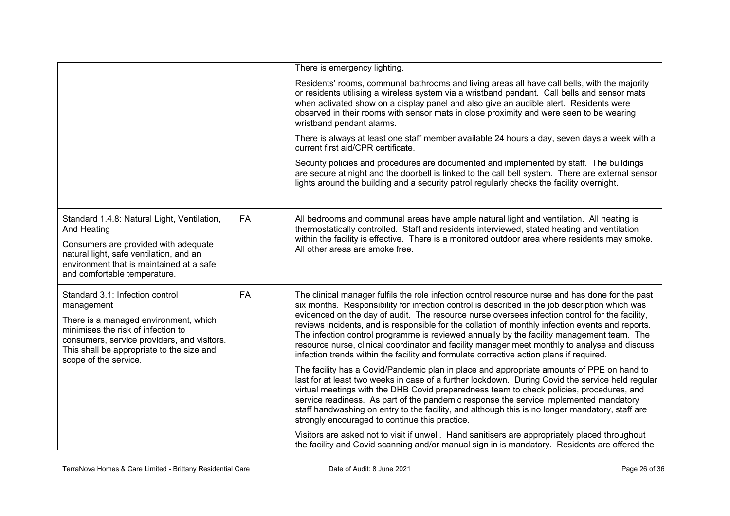|                                                                                                                                                                                                                                                   |           | There is emergency lighting.                                                                                                                                                                                                                                                                                                                                                                                                                                                                                                                                                                                                                                                                      |
|---------------------------------------------------------------------------------------------------------------------------------------------------------------------------------------------------------------------------------------------------|-----------|---------------------------------------------------------------------------------------------------------------------------------------------------------------------------------------------------------------------------------------------------------------------------------------------------------------------------------------------------------------------------------------------------------------------------------------------------------------------------------------------------------------------------------------------------------------------------------------------------------------------------------------------------------------------------------------------------|
|                                                                                                                                                                                                                                                   |           | Residents' rooms, communal bathrooms and living areas all have call bells, with the majority<br>or residents utilising a wireless system via a wristband pendant. Call bells and sensor mats<br>when activated show on a display panel and also give an audible alert. Residents were<br>observed in their rooms with sensor mats in close proximity and were seen to be wearing<br>wristband pendant alarms.                                                                                                                                                                                                                                                                                     |
|                                                                                                                                                                                                                                                   |           | There is always at least one staff member available 24 hours a day, seven days a week with a<br>current first aid/CPR certificate.                                                                                                                                                                                                                                                                                                                                                                                                                                                                                                                                                                |
|                                                                                                                                                                                                                                                   |           | Security policies and procedures are documented and implemented by staff. The buildings<br>are secure at night and the doorbell is linked to the call bell system. There are external sensor<br>lights around the building and a security patrol regularly checks the facility overnight.                                                                                                                                                                                                                                                                                                                                                                                                         |
| Standard 1.4.8: Natural Light, Ventilation,<br>And Heating                                                                                                                                                                                        | <b>FA</b> | All bedrooms and communal areas have ample natural light and ventilation. All heating is<br>thermostatically controlled. Staff and residents interviewed, stated heating and ventilation                                                                                                                                                                                                                                                                                                                                                                                                                                                                                                          |
| Consumers are provided with adequate<br>natural light, safe ventilation, and an<br>environment that is maintained at a safe<br>and comfortable temperature.                                                                                       |           | within the facility is effective. There is a monitored outdoor area where residents may smoke.<br>All other areas are smoke free.                                                                                                                                                                                                                                                                                                                                                                                                                                                                                                                                                                 |
| Standard 3.1: Infection control<br>management<br>There is a managed environment, which<br>minimises the risk of infection to<br>consumers, service providers, and visitors.<br>This shall be appropriate to the size and<br>scope of the service. | FA        | The clinical manager fulfils the role infection control resource nurse and has done for the past<br>six months. Responsibility for infection control is described in the job description which was<br>evidenced on the day of audit. The resource nurse oversees infection control for the facility,<br>reviews incidents, and is responsible for the collation of monthly infection events and reports.<br>The infection control programme is reviewed annually by the facility management team. The<br>resource nurse, clinical coordinator and facility manager meet monthly to analyse and discuss<br>infection trends within the facility and formulate corrective action plans if required. |
|                                                                                                                                                                                                                                                   |           | The facility has a Covid/Pandemic plan in place and appropriate amounts of PPE on hand to<br>last for at least two weeks in case of a further lockdown. During Covid the service held regular<br>virtual meetings with the DHB Covid preparedness team to check policies, procedures, and<br>service readiness. As part of the pandemic response the service implemented mandatory<br>staff handwashing on entry to the facility, and although this is no longer mandatory, staff are<br>strongly encouraged to continue this practice.                                                                                                                                                           |
|                                                                                                                                                                                                                                                   |           | Visitors are asked not to visit if unwell. Hand sanitisers are appropriately placed throughout<br>the facility and Covid scanning and/or manual sign in is mandatory. Residents are offered the                                                                                                                                                                                                                                                                                                                                                                                                                                                                                                   |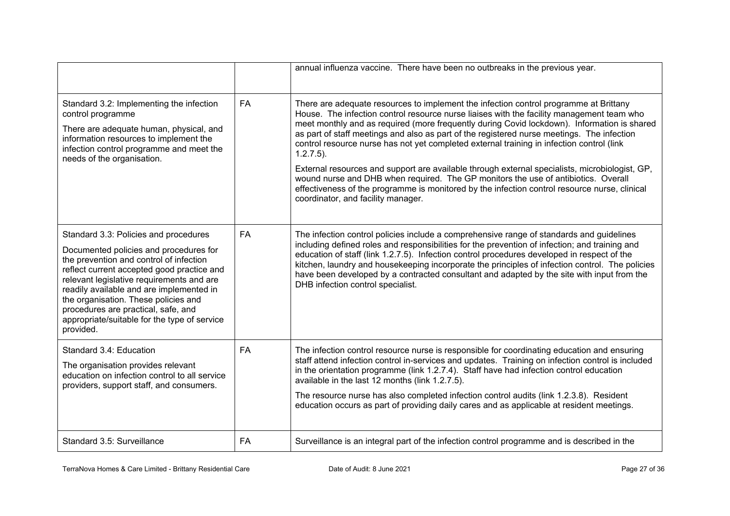|                                                                                                                                                                                                                                                                                                                                                                                                               |           | annual influenza vaccine. There have been no outbreaks in the previous year.                                                                                                                                                                                                                                                                                                                                                                                                                                                                                                                                                                                                                                                                                                                                                |
|---------------------------------------------------------------------------------------------------------------------------------------------------------------------------------------------------------------------------------------------------------------------------------------------------------------------------------------------------------------------------------------------------------------|-----------|-----------------------------------------------------------------------------------------------------------------------------------------------------------------------------------------------------------------------------------------------------------------------------------------------------------------------------------------------------------------------------------------------------------------------------------------------------------------------------------------------------------------------------------------------------------------------------------------------------------------------------------------------------------------------------------------------------------------------------------------------------------------------------------------------------------------------------|
| Standard 3.2: Implementing the infection<br>control programme<br>There are adequate human, physical, and<br>information resources to implement the<br>infection control programme and meet the<br>needs of the organisation.                                                                                                                                                                                  | FA        | There are adequate resources to implement the infection control programme at Brittany<br>House. The infection control resource nurse liaises with the facility management team who<br>meet monthly and as required (more frequently during Covid lockdown). Information is shared<br>as part of staff meetings and also as part of the registered nurse meetings. The infection<br>control resource nurse has not yet completed external training in infection control (link<br>$1.2.7.5$ ).<br>External resources and support are available through external specialists, microbiologist, GP,<br>wound nurse and DHB when required. The GP monitors the use of antibiotics. Overall<br>effectiveness of the programme is monitored by the infection control resource nurse, clinical<br>coordinator, and facility manager. |
| Standard 3.3: Policies and procedures<br>Documented policies and procedures for<br>the prevention and control of infection<br>reflect current accepted good practice and<br>relevant legislative requirements and are<br>readily available and are implemented in<br>the organisation. These policies and<br>procedures are practical, safe, and<br>appropriate/suitable for the type of service<br>provided. | FA        | The infection control policies include a comprehensive range of standards and guidelines<br>including defined roles and responsibilities for the prevention of infection; and training and<br>education of staff (link 1.2.7.5). Infection control procedures developed in respect of the<br>kitchen, laundry and housekeeping incorporate the principles of infection control. The policies<br>have been developed by a contracted consultant and adapted by the site with input from the<br>DHB infection control specialist.                                                                                                                                                                                                                                                                                             |
| Standard 3.4: Education<br>The organisation provides relevant<br>education on infection control to all service<br>providers, support staff, and consumers.                                                                                                                                                                                                                                                    | <b>FA</b> | The infection control resource nurse is responsible for coordinating education and ensuring<br>staff attend infection control in-services and updates. Training on infection control is included<br>in the orientation programme (link 1.2.7.4). Staff have had infection control education<br>available in the last 12 months (link 1.2.7.5).<br>The resource nurse has also completed infection control audits (link 1.2.3.8). Resident<br>education occurs as part of providing daily cares and as applicable at resident meetings.                                                                                                                                                                                                                                                                                      |
| Standard 3.5: Surveillance                                                                                                                                                                                                                                                                                                                                                                                    | <b>FA</b> | Surveillance is an integral part of the infection control programme and is described in the                                                                                                                                                                                                                                                                                                                                                                                                                                                                                                                                                                                                                                                                                                                                 |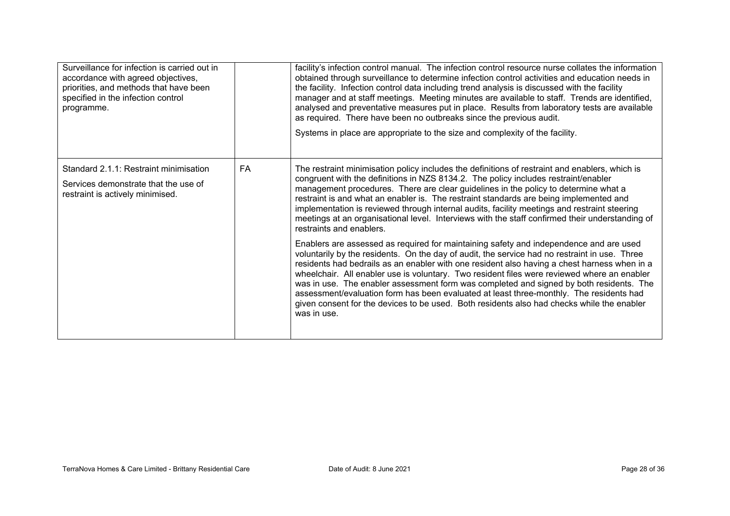| Surveillance for infection is carried out in<br>accordance with agreed objectives,<br>priorities, and methods that have been<br>specified in the infection control<br>programme. |    | facility's infection control manual. The infection control resource nurse collates the information<br>obtained through surveillance to determine infection control activities and education needs in<br>the facility. Infection control data including trend analysis is discussed with the facility<br>manager and at staff meetings. Meeting minutes are available to staff. Trends are identified,<br>analysed and preventative measures put in place. Results from laboratory tests are available<br>as required. There have been no outbreaks since the previous audit.<br>Systems in place are appropriate to the size and complexity of the facility.                              |
|----------------------------------------------------------------------------------------------------------------------------------------------------------------------------------|----|-------------------------------------------------------------------------------------------------------------------------------------------------------------------------------------------------------------------------------------------------------------------------------------------------------------------------------------------------------------------------------------------------------------------------------------------------------------------------------------------------------------------------------------------------------------------------------------------------------------------------------------------------------------------------------------------|
| Standard 2.1.1: Restraint minimisation<br>Services demonstrate that the use of<br>restraint is actively minimised.                                                               | FA | The restraint minimisation policy includes the definitions of restraint and enablers, which is<br>congruent with the definitions in NZS 8134.2. The policy includes restraint/enabler<br>management procedures. There are clear guidelines in the policy to determine what a<br>restraint is and what an enabler is. The restraint standards are being implemented and<br>implementation is reviewed through internal audits, facility meetings and restraint steering<br>meetings at an organisational level. Interviews with the staff confirmed their understanding of<br>restraints and enablers.                                                                                     |
|                                                                                                                                                                                  |    | Enablers are assessed as required for maintaining safety and independence and are used<br>voluntarily by the residents. On the day of audit, the service had no restraint in use. Three<br>residents had bedrails as an enabler with one resident also having a chest harness when in a<br>wheelchair. All enabler use is voluntary. Two resident files were reviewed where an enabler<br>was in use. The enabler assessment form was completed and signed by both residents. The<br>assessment/evaluation form has been evaluated at least three-monthly. The residents had<br>given consent for the devices to be used. Both residents also had checks while the enabler<br>was in use. |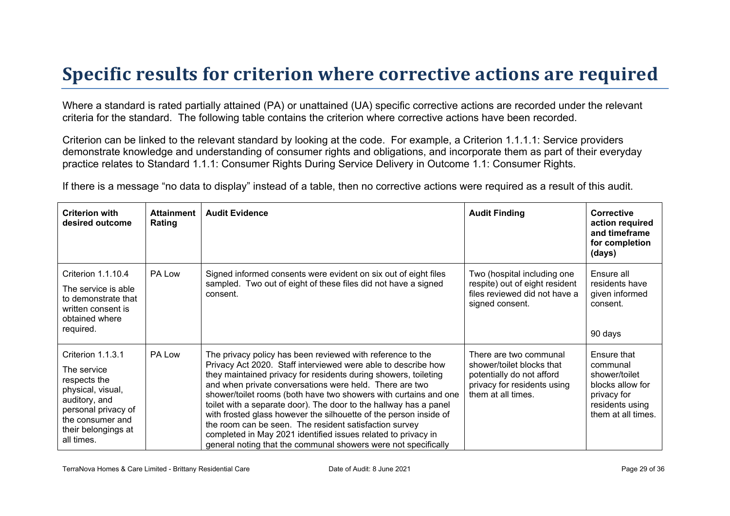### **Specific results for criterion where corrective actions are required**

Where a standard is rated partially attained (PA) or unattained (UA) specific corrective actions are recorded under the relevant criteria for the standard. The following table contains the criterion where corrective actions have been recorded.

Criterion can be linked to the relevant standard by looking at the code. For example, a Criterion 1.1.1.1: Service providers demonstrate knowledge and understanding of consumer rights and obligations, and incorporate them as part of their everyday practice relates to Standard 1.1.1: Consumer Rights During Service Delivery in Outcome 1.1: Consumer Rights.

If there is a message "no data to display" instead of a table, then no corrective actions were required as a result of this audit.

| <b>Criterion with</b><br>desired outcome                                                                                                                               | <b>Attainment</b><br>Rating | <b>Audit Evidence</b>                                                                                                                                                                                                                                                                                                                                                                                                                                                                                                                                                                                                                                                | <b>Audit Finding</b>                                                                                                                  | Corrective<br>action required<br>and timeframe<br>for completion<br>(days)                                           |
|------------------------------------------------------------------------------------------------------------------------------------------------------------------------|-----------------------------|----------------------------------------------------------------------------------------------------------------------------------------------------------------------------------------------------------------------------------------------------------------------------------------------------------------------------------------------------------------------------------------------------------------------------------------------------------------------------------------------------------------------------------------------------------------------------------------------------------------------------------------------------------------------|---------------------------------------------------------------------------------------------------------------------------------------|----------------------------------------------------------------------------------------------------------------------|
| Criterion 1.1.10.4<br>The service is able<br>to demonstrate that<br>written consent is<br>obtained where<br>required.                                                  | PA Low                      | Signed informed consents were evident on six out of eight files<br>sampled. Two out of eight of these files did not have a signed<br>consent.                                                                                                                                                                                                                                                                                                                                                                                                                                                                                                                        | Two (hospital including one<br>respite) out of eight resident<br>files reviewed did not have a<br>signed consent.                     | Ensure all<br>residents have<br>given informed<br>consent.<br>90 days                                                |
| Criterion 1.1.3.1<br>The service<br>respects the<br>physical, visual,<br>auditory, and<br>personal privacy of<br>the consumer and<br>their belongings at<br>all times. | PA Low                      | The privacy policy has been reviewed with reference to the<br>Privacy Act 2020. Staff interviewed were able to describe how<br>they maintained privacy for residents during showers, toileting<br>and when private conversations were held. There are two<br>shower/toilet rooms (both have two showers with curtains and one<br>toilet with a separate door). The door to the hallway has a panel<br>with frosted glass however the silhouette of the person inside of<br>the room can be seen. The resident satisfaction survey<br>completed in May 2021 identified issues related to privacy in<br>general noting that the communal showers were not specifically | There are two communal<br>shower/toilet blocks that<br>potentially do not afford<br>privacy for residents using<br>them at all times. | Ensure that<br>communal<br>shower/toilet<br>blocks allow for<br>privacy for<br>residents using<br>them at all times. |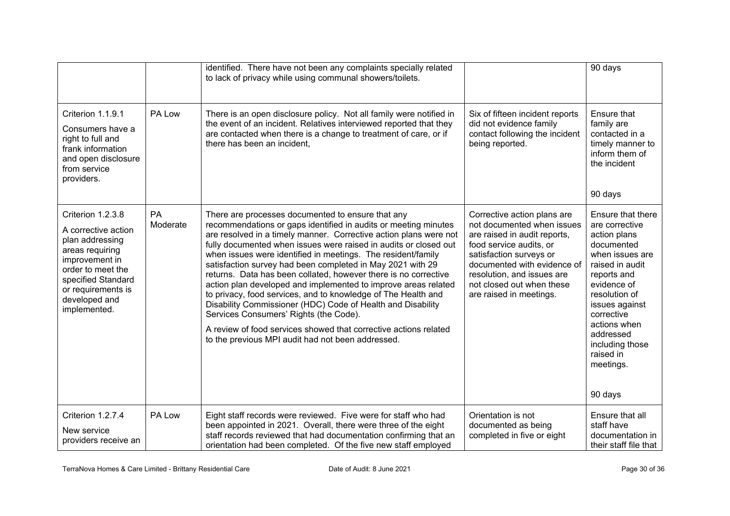|                                                                                                                                                                                                    |                | identified. There have not been any complaints specially related<br>to lack of privacy while using communal showers/toilets.                                                                                                                                                                                                                                                                                                                                                                                                                                                                                                                                                                                                                                                                                                        |                                                                                                                                                                                                                                                                      | 90 days                                                                                                                                                                                                                                                                     |
|----------------------------------------------------------------------------------------------------------------------------------------------------------------------------------------------------|----------------|-------------------------------------------------------------------------------------------------------------------------------------------------------------------------------------------------------------------------------------------------------------------------------------------------------------------------------------------------------------------------------------------------------------------------------------------------------------------------------------------------------------------------------------------------------------------------------------------------------------------------------------------------------------------------------------------------------------------------------------------------------------------------------------------------------------------------------------|----------------------------------------------------------------------------------------------------------------------------------------------------------------------------------------------------------------------------------------------------------------------|-----------------------------------------------------------------------------------------------------------------------------------------------------------------------------------------------------------------------------------------------------------------------------|
| Criterion 1.1.9.1<br>Consumers have a<br>right to full and<br>frank information<br>and open disclosure<br>from service<br>providers.                                                               | PA Low         | There is an open disclosure policy. Not all family were notified in<br>the event of an incident. Relatives interviewed reported that they<br>are contacted when there is a change to treatment of care, or if<br>there has been an incident,                                                                                                                                                                                                                                                                                                                                                                                                                                                                                                                                                                                        | Six of fifteen incident reports<br>did not evidence family<br>contact following the incident<br>being reported.                                                                                                                                                      | Ensure that<br>family are<br>contacted in a<br>timely manner to<br>inform them of<br>the incident<br>90 days                                                                                                                                                                |
| Criterion 1.2.3.8<br>A corrective action<br>plan addressing<br>areas requiring<br>improvement in<br>order to meet the<br>specified Standard<br>or requirements is<br>developed and<br>implemented. | PA<br>Moderate | There are processes documented to ensure that any<br>recommendations or gaps identified in audits or meeting minutes<br>are resolved in a timely manner. Corrective action plans were not<br>fully documented when issues were raised in audits or closed out<br>when issues were identified in meetings. The resident/family<br>satisfaction survey had been completed in May 2021 with 29<br>returns. Data has been collated, however there is no corrective<br>action plan developed and implemented to improve areas related<br>to privacy, food services, and to knowledge of The Health and<br>Disability Commissioner (HDC) Code of Health and Disability<br>Services Consumers' Rights (the Code).<br>A review of food services showed that corrective actions related<br>to the previous MPI audit had not been addressed. | Corrective action plans are<br>not documented when issues<br>are raised in audit reports,<br>food service audits, or<br>satisfaction surveys or<br>documented with evidence of<br>resolution, and issues are<br>not closed out when these<br>are raised in meetings. | Ensure that there<br>are corrective<br>action plans<br>documented<br>when issues are<br>raised in audit<br>reports and<br>evidence of<br>resolution of<br>issues against<br>corrective<br>actions when<br>addressed<br>including those<br>raised in<br>meetings.<br>90 days |
| Criterion 1.2.7.4<br>New service<br>providers receive an                                                                                                                                           | PA Low         | Eight staff records were reviewed. Five were for staff who had<br>been appointed in 2021. Overall, there were three of the eight<br>staff records reviewed that had documentation confirming that an<br>orientation had been completed. Of the five new staff employed                                                                                                                                                                                                                                                                                                                                                                                                                                                                                                                                                              | Orientation is not<br>documented as being<br>completed in five or eight                                                                                                                                                                                              | Ensure that all<br>staff have<br>documentation in<br>their staff file that                                                                                                                                                                                                  |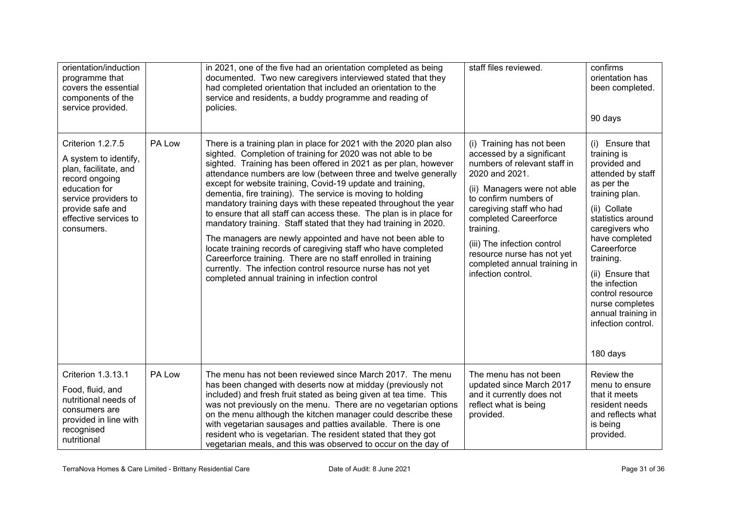| orientation/induction<br>programme that<br>covers the essential<br>components of the<br>service provided.                                                                                 |        | in 2021, one of the five had an orientation completed as being<br>documented. Two new caregivers interviewed stated that they<br>had completed orientation that included an orientation to the<br>service and residents, a buddy programme and reading of<br>policies.                                                                                                                                                                                                                                                                                                                                                                                                                                                                                                                                                                                                                                                             | staff files reviewed.                                                                                                                                                                                                                                                                                                                                 | confirms<br>orientation has<br>been completed.<br>90 days                                                                                                                                                                                                                                                                                    |
|-------------------------------------------------------------------------------------------------------------------------------------------------------------------------------------------|--------|------------------------------------------------------------------------------------------------------------------------------------------------------------------------------------------------------------------------------------------------------------------------------------------------------------------------------------------------------------------------------------------------------------------------------------------------------------------------------------------------------------------------------------------------------------------------------------------------------------------------------------------------------------------------------------------------------------------------------------------------------------------------------------------------------------------------------------------------------------------------------------------------------------------------------------|-------------------------------------------------------------------------------------------------------------------------------------------------------------------------------------------------------------------------------------------------------------------------------------------------------------------------------------------------------|----------------------------------------------------------------------------------------------------------------------------------------------------------------------------------------------------------------------------------------------------------------------------------------------------------------------------------------------|
| Criterion 1.2.7.5<br>A system to identify,<br>plan, facilitate, and<br>record ongoing<br>education for<br>service providers to<br>provide safe and<br>effective services to<br>consumers. | PA Low | There is a training plan in place for 2021 with the 2020 plan also<br>sighted. Completion of training for 2020 was not able to be<br>sighted. Training has been offered in 2021 as per plan, however<br>attendance numbers are low (between three and twelve generally<br>except for website training, Covid-19 update and training,<br>dementia, fire training). The service is moving to holding<br>mandatory training days with these repeated throughout the year<br>to ensure that all staff can access these. The plan is in place for<br>mandatory training. Staff stated that they had training in 2020.<br>The managers are newly appointed and have not been able to<br>locate training records of caregiving staff who have completed<br>Careerforce training. There are no staff enrolled in training<br>currently. The infection control resource nurse has not yet<br>completed annual training in infection control | (i) Training has not been<br>accessed by a significant<br>numbers of relevant staff in<br>2020 and 2021.<br>(ii) Managers were not able<br>to confirm numbers of<br>caregiving staff who had<br>completed Careerforce<br>training.<br>(iii) The infection control<br>resource nurse has not yet<br>completed annual training in<br>infection control. | (i) Ensure that<br>training is<br>provided and<br>attended by staff<br>as per the<br>training plan.<br>(ii) Collate<br>statistics around<br>caregivers who<br>have completed<br>Careerforce<br>training.<br>(ii) Ensure that<br>the infection<br>control resource<br>nurse completes<br>annual training in<br>infection control.<br>180 days |
| Criterion 1.3.13.1<br>Food, fluid, and<br>nutritional needs of<br>consumers are<br>provided in line with<br>recognised<br>nutritional                                                     | PA Low | The menu has not been reviewed since March 2017. The menu<br>has been changed with deserts now at midday (previously not<br>included) and fresh fruit stated as being given at tea time. This<br>was not previously on the menu. There are no vegetarian options<br>on the menu although the kitchen manager could describe these<br>with vegetarian sausages and patties available. There is one<br>resident who is vegetarian. The resident stated that they got<br>vegetarian meals, and this was observed to occur on the day of                                                                                                                                                                                                                                                                                                                                                                                               | The menu has not been<br>updated since March 2017<br>and it currently does not<br>reflect what is being<br>provided.                                                                                                                                                                                                                                  | Review the<br>menu to ensure<br>that it meets<br>resident needs<br>and reflects what<br>is being<br>provided.                                                                                                                                                                                                                                |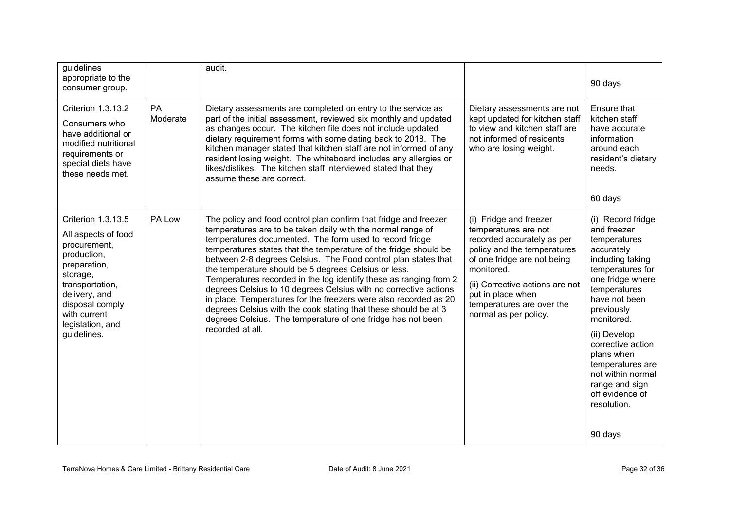| guidelines<br>appropriate to the<br>consumer group.                                                                                                                                                            |                       | audit.                                                                                                                                                                                                                                                                                                                                                                                                                                                                                                                                                                                                                                                                                                                                                      |                                                                                                                                                                                                                                                                        | 90 days                                                                                                                                                                                                                                                                                                                                            |
|----------------------------------------------------------------------------------------------------------------------------------------------------------------------------------------------------------------|-----------------------|-------------------------------------------------------------------------------------------------------------------------------------------------------------------------------------------------------------------------------------------------------------------------------------------------------------------------------------------------------------------------------------------------------------------------------------------------------------------------------------------------------------------------------------------------------------------------------------------------------------------------------------------------------------------------------------------------------------------------------------------------------------|------------------------------------------------------------------------------------------------------------------------------------------------------------------------------------------------------------------------------------------------------------------------|----------------------------------------------------------------------------------------------------------------------------------------------------------------------------------------------------------------------------------------------------------------------------------------------------------------------------------------------------|
| <b>Criterion 1.3.13.2</b><br>Consumers who<br>have additional or<br>modified nutritional<br>requirements or<br>special diets have<br>these needs met.                                                          | <b>PA</b><br>Moderate | Dietary assessments are completed on entry to the service as<br>part of the initial assessment, reviewed six monthly and updated<br>as changes occur. The kitchen file does not include updated<br>dietary requirement forms with some dating back to 2018. The<br>kitchen manager stated that kitchen staff are not informed of any<br>resident losing weight. The whiteboard includes any allergies or<br>likes/dislikes. The kitchen staff interviewed stated that they<br>assume these are correct.                                                                                                                                                                                                                                                     | Dietary assessments are not<br>kept updated for kitchen staff<br>to view and kitchen staff are<br>not informed of residents<br>who are losing weight.                                                                                                                  | Ensure that<br>kitchen staff<br>have accurate<br>information<br>around each<br>resident's dietary<br>needs.<br>60 days                                                                                                                                                                                                                             |
| Criterion 1.3.13.5<br>All aspects of food<br>procurement,<br>production,<br>preparation,<br>storage,<br>transportation,<br>delivery, and<br>disposal comply<br>with current<br>legislation, and<br>guidelines. | PA Low                | The policy and food control plan confirm that fridge and freezer<br>temperatures are to be taken daily with the normal range of<br>temperatures documented. The form used to record fridge<br>temperatures states that the temperature of the fridge should be<br>between 2-8 degrees Celsius. The Food control plan states that<br>the temperature should be 5 degrees Celsius or less.<br>Temperatures recorded in the log identify these as ranging from 2<br>degrees Celsius to 10 degrees Celsius with no corrective actions<br>in place. Temperatures for the freezers were also recorded as 20<br>degrees Celsius with the cook stating that these should be at 3<br>degrees Celsius. The temperature of one fridge has not been<br>recorded at all. | (i) Fridge and freezer<br>temperatures are not<br>recorded accurately as per<br>policy and the temperatures<br>of one fridge are not being<br>monitored.<br>(ii) Corrective actions are not<br>put in place when<br>temperatures are over the<br>normal as per policy. | (i) Record fridge<br>and freezer<br>temperatures<br>accurately<br>including taking<br>temperatures for<br>one fridge where<br>temperatures<br>have not been<br>previously<br>monitored.<br>(ii) Develop<br>corrective action<br>plans when<br>temperatures are<br>not within normal<br>range and sign<br>off evidence of<br>resolution.<br>90 days |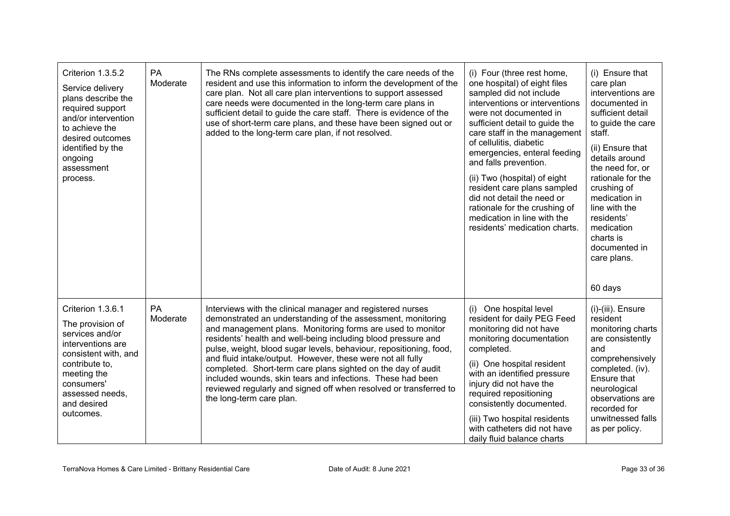| Criterion 1.3.5.2<br>Service delivery<br>plans describe the<br>required support<br>and/or intervention<br>to achieve the<br>desired outcomes<br>identified by the<br>ongoing<br>assessment<br>process. | <b>PA</b><br>Moderate | The RNs complete assessments to identify the care needs of the<br>resident and use this information to inform the development of the<br>care plan. Not all care plan interventions to support assessed<br>care needs were documented in the long-term care plans in<br>sufficient detail to guide the care staff. There is evidence of the<br>use of short-term care plans, and these have been signed out or<br>added to the long-term care plan, if not resolved.                                                                                                                                                         | (i) Four (three rest home,<br>one hospital) of eight files<br>sampled did not include<br>interventions or interventions<br>were not documented in<br>sufficient detail to guide the<br>care staff in the management<br>of cellulitis, diabetic<br>emergencies, enteral feeding<br>and falls prevention.<br>(ii) Two (hospital) of eight<br>resident care plans sampled<br>did not detail the need or<br>rationale for the crushing of<br>medication in line with the<br>residents' medication charts. | (i) Ensure that<br>care plan<br>interventions are<br>documented in<br>sufficient detail<br>to guide the care<br>staff.<br>(ii) Ensure that<br>details around<br>the need for, or<br>rationale for the<br>crushing of<br>medication in<br>line with the<br>residents'<br>medication<br>charts is<br>documented in<br>care plans.<br>60 days |
|--------------------------------------------------------------------------------------------------------------------------------------------------------------------------------------------------------|-----------------------|-----------------------------------------------------------------------------------------------------------------------------------------------------------------------------------------------------------------------------------------------------------------------------------------------------------------------------------------------------------------------------------------------------------------------------------------------------------------------------------------------------------------------------------------------------------------------------------------------------------------------------|-------------------------------------------------------------------------------------------------------------------------------------------------------------------------------------------------------------------------------------------------------------------------------------------------------------------------------------------------------------------------------------------------------------------------------------------------------------------------------------------------------|--------------------------------------------------------------------------------------------------------------------------------------------------------------------------------------------------------------------------------------------------------------------------------------------------------------------------------------------|
| Criterion 1.3.6.1<br>The provision of<br>services and/or<br>interventions are<br>consistent with, and<br>contribute to,<br>meeting the<br>consumers'<br>assessed needs,<br>and desired<br>outcomes.    | PA<br>Moderate        | Interviews with the clinical manager and registered nurses<br>demonstrated an understanding of the assessment, monitoring<br>and management plans. Monitoring forms are used to monitor<br>residents' health and well-being including blood pressure and<br>pulse, weight, blood sugar levels, behaviour, repositioning, food,<br>and fluid intake/output. However, these were not all fully<br>completed. Short-term care plans sighted on the day of audit<br>included wounds, skin tears and infections. These had been<br>reviewed regularly and signed off when resolved or transferred to<br>the long-term care plan. | (i) One hospital level<br>resident for daily PEG Feed<br>monitoring did not have<br>monitoring documentation<br>completed.<br>(ii) One hospital resident<br>with an identified pressure<br>injury did not have the<br>required repositioning<br>consistently documented.<br>(iii) Two hospital residents<br>with catheters did not have<br>daily fluid balance charts                                                                                                                                 | (i)-(iii). Ensure<br>resident<br>monitoring charts<br>are consistently<br>and<br>comprehensively<br>completed. (iv).<br>Ensure that<br>neurological<br>observations are<br>recorded for<br>unwitnessed falls<br>as per policy.                                                                                                             |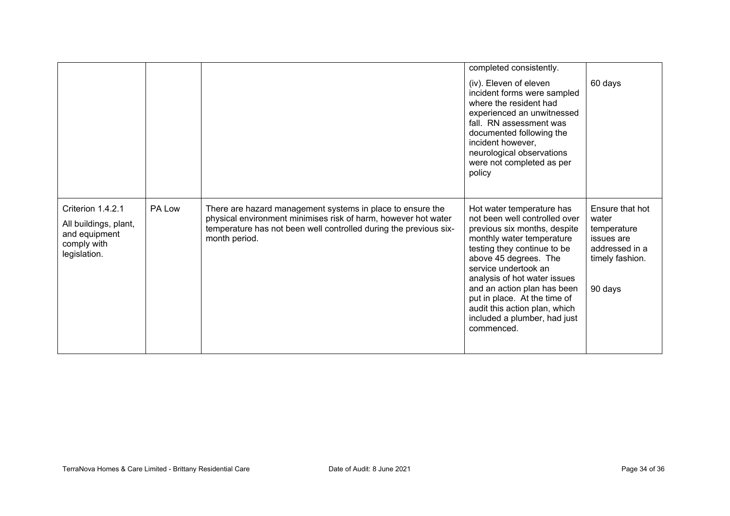|                                                                                            |        |                                                                                                                                                                                                                    | completed consistently.<br>(iv). Eleven of eleven<br>incident forms were sampled<br>where the resident had<br>experienced an unwitnessed<br>fall. RN assessment was<br>documented following the<br>incident however,<br>neurological observations<br>were not completed as per<br>policy                                                                                              | 60 days                                                                                               |
|--------------------------------------------------------------------------------------------|--------|--------------------------------------------------------------------------------------------------------------------------------------------------------------------------------------------------------------------|---------------------------------------------------------------------------------------------------------------------------------------------------------------------------------------------------------------------------------------------------------------------------------------------------------------------------------------------------------------------------------------|-------------------------------------------------------------------------------------------------------|
| Criterion 1.4.2.1<br>All buildings, plant,<br>and equipment<br>comply with<br>legislation. | PA Low | There are hazard management systems in place to ensure the<br>physical environment minimises risk of harm, however hot water<br>temperature has not been well controlled during the previous six-<br>month period. | Hot water temperature has<br>not been well controlled over<br>previous six months, despite<br>monthly water temperature<br>testing they continue to be<br>above 45 degrees. The<br>service undertook an<br>analysis of hot water issues<br>and an action plan has been<br>put in place. At the time of<br>audit this action plan, which<br>included a plumber, had just<br>commenced. | Ensure that hot<br>water<br>temperature<br>issues are<br>addressed in a<br>timely fashion.<br>90 days |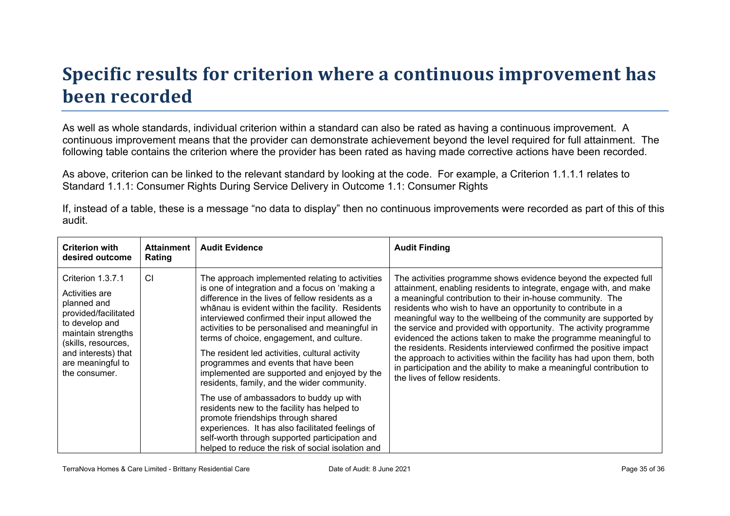# **Specific results for criterion where a continuous improvement has been recorded**

As well as whole standards, individual criterion within a standard can also be rated as having a continuous improvement. A continuous improvement means that the provider can demonstrate achievement beyond the level required for full attainment. The following table contains the criterion where the provider has been rated as having made corrective actions have been recorded.

As above, criterion can be linked to the relevant standard by looking at the code. For example, a Criterion 1.1.1.1 relates to Standard 1.1.1: Consumer Rights During Service Delivery in Outcome 1.1: Consumer Rights

If, instead of a table, these is a message "no data to display" then no continuous improvements were recorded as part of this of this audit.

| <b>Criterion with</b><br>desired outcome                                                                                                                                                               | <b>Attainment</b><br>Rating | <b>Audit Evidence</b>                                                                                                                                                                                                                                                                                                                                                                                                                                                                                                                                                                                                                                                                                                                                                                     | <b>Audit Finding</b>                                                                                                                                                                                                                                                                                                                                                                                                                                                                                                                                                                                                                                                                                                                         |
|--------------------------------------------------------------------------------------------------------------------------------------------------------------------------------------------------------|-----------------------------|-------------------------------------------------------------------------------------------------------------------------------------------------------------------------------------------------------------------------------------------------------------------------------------------------------------------------------------------------------------------------------------------------------------------------------------------------------------------------------------------------------------------------------------------------------------------------------------------------------------------------------------------------------------------------------------------------------------------------------------------------------------------------------------------|----------------------------------------------------------------------------------------------------------------------------------------------------------------------------------------------------------------------------------------------------------------------------------------------------------------------------------------------------------------------------------------------------------------------------------------------------------------------------------------------------------------------------------------------------------------------------------------------------------------------------------------------------------------------------------------------------------------------------------------------|
| Criterion 1.3.7.1<br>Activities are<br>planned and<br>provided/facilitated<br>to develop and<br>maintain strengths<br>(skills, resources,<br>and interests) that<br>are meaningful to<br>the consumer. | <b>CI</b>                   | The approach implemented relating to activities<br>is one of integration and a focus on 'making a<br>difference in the lives of fellow residents as a<br>whanau is evident within the facility. Residents<br>interviewed confirmed their input allowed the<br>activities to be personalised and meaningful in<br>terms of choice, engagement, and culture.<br>The resident led activities, cultural activity<br>programmes and events that have been<br>implemented are supported and enjoyed by the<br>residents, family, and the wider community.<br>The use of ambassadors to buddy up with<br>residents new to the facility has helped to<br>promote friendships through shared<br>experiences. It has also facilitated feelings of<br>self-worth through supported participation and | The activities programme shows evidence beyond the expected full<br>attainment, enabling residents to integrate, engage with, and make<br>a meaningful contribution to their in-house community. The<br>residents who wish to have an opportunity to contribute in a<br>meaningful way to the wellbeing of the community are supported by<br>the service and provided with opportunity. The activity programme<br>evidenced the actions taken to make the programme meaningful to<br>the residents. Residents interviewed confirmed the positive impact<br>the approach to activities within the facility has had upon them, both<br>in participation and the ability to make a meaningful contribution to<br>the lives of fellow residents. |
|                                                                                                                                                                                                        |                             | helped to reduce the risk of social isolation and                                                                                                                                                                                                                                                                                                                                                                                                                                                                                                                                                                                                                                                                                                                                         |                                                                                                                                                                                                                                                                                                                                                                                                                                                                                                                                                                                                                                                                                                                                              |